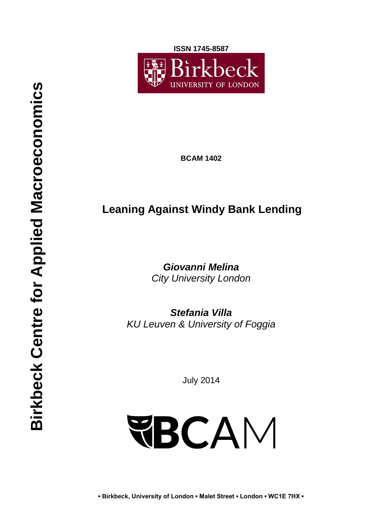**ISSN 1745-8587**



**BCAM 1402**

# **Leaning Against Windy Bank Lending**

*Giovanni Melina City University London*

*Stefania Villa KU Leuven & University of Foggia*

July 2014

# **FBCAM**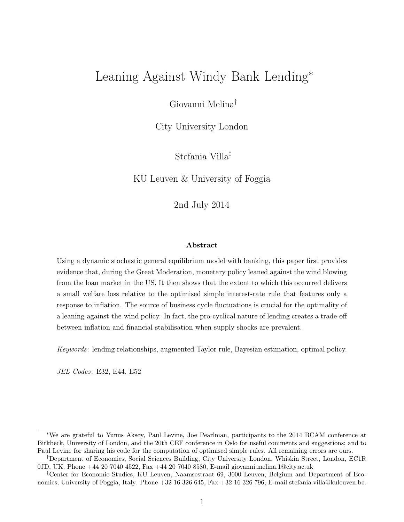# Leaning Against Windy Bank Lending<sup>∗</sup>

Giovanni Melina†

City University London

Stefania Villa‡

KU Leuven & University of Foggia

2nd July 2014

#### Abstract

Using a dynamic stochastic general equilibrium model with banking, this paper first provides evidence that, during the Great Moderation, monetary policy leaned against the wind blowing from the loan market in the US. It then shows that the extent to which this occurred delivers a small welfare loss relative to the optimised simple interest-rate rule that features only a response to inflation. The source of business cycle fluctuations is crucial for the optimality of a leaning-against-the-wind policy. In fact, the pro-cyclical nature of lending creates a trade-off between inflation and financial stabilisation when supply shocks are prevalent.

Keywords: lending relationships, augmented Taylor rule, Bayesian estimation, optimal policy.

JEL Codes: E32, E44, E52

<sup>∗</sup>We are grateful to Yunus Aksoy, Paul Levine, Joe Pearlman, participants to the 2014 BCAM conference at Birkbeck, University of London, and the 20th CEF conference in Oslo for useful comments and suggestions; and to Paul Levine for sharing his code for the computation of optimised simple rules. All remaining errors are ours.

<sup>†</sup>Department of Economics, Social Sciences Building, City University London, Whiskin Street, London, EC1R 0JD, UK. Phone +44 20 7040 4522, Fax +44 20 7040 8580, E-mail giovanni.melina.1@city.ac.uk

<sup>‡</sup>Center for Economic Studies, KU Leuven, Naamsestraat 69, 3000 Leuven, Belgium and Department of Economics, University of Foggia, Italy. Phone +32 16 326 645, Fax +32 16 326 796, E-mail stefania.villa@kuleuven.be.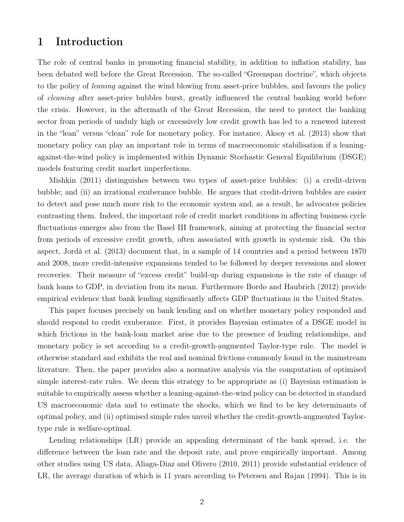## 1 Introduction

The role of central banks in promoting financial stability, in addition to inflation stability, has been debated well before the Great Recession. The so-called "Greenspan doctrine", which objects to the policy of leaning against the wind blowing from asset-price bubbles, and favours the policy of cleaning after asset-price bubbles burst, greatly influenced the central banking world before the crisis. However, in the aftermath of the Great Recession, the need to protect the banking sector from periods of unduly high or excessively low credit growth has led to a renewed interest in the "lean" versus "clean" role for monetary policy. For instance, Aksoy et al. (2013) show that monetary policy can play an important role in terms of macroeconomic stabilisation if a leaningagainst-the-wind policy is implemented within Dynamic Stochastic General Equilibrium (DSGE) models featuring credit market imperfections.

Mishkin (2011) distinguishes between two types of asset-price bubbles: (i) a credit-driven bubble; and (ii) an irrational exuberance bubble. He argues that credit-driven bubbles are easier to detect and pose much more risk to the economic system and, as a result, he advocates policies contrasting them. Indeed, the important role of credit market conditions in affecting business cycle fluctuations emerges also from the Basel III framework, aiming at protecting the financial sector from periods of excessive credit growth, often associated with growth in systemic risk. On this aspect, Jordà et al. (2013) document that, in a sample of 14 countries and a period between 1870 and 2008, more credit-intensive expansions tended to be followed by deeper recessions and slower recoveries. Their measure of "excess credit" build-up during expansions is the rate of change of bank loans to GDP, in deviation from its mean. Furthermore Bordo and Haubrich (2012) provide empirical evidence that bank lending significantly affects GDP fluctuations in the United States.

This paper focuses precisely on bank lending and on whether monetary policy responded and should respond to credit exuberance. First, it provides Bayesian estimates of a DSGE model in which frictions in the bank-loan market arise due to the presence of lending relationships, and monetary policy is set according to a credit-growth-augmented Taylor-type rule. The model is otherwise standard and exhibits the real and nominal frictions commonly found in the mainstream literature. Then, the paper provides also a normative analysis via the computation of optimised simple interest-rate rules. We deem this strategy to be appropriate as (i) Bayesian estimation is suitable to empirically assess whether a leaning-against-the-wind policy can be detected in standard US macroeconomic data and to estimate the shocks, which we find to be key determinants of optimal policy, and (ii) optimised simple rules unveil whether the credit-growth-augmented Taylortype rule is welfare-optimal.

Lending relationships (LR) provide an appealing determinant of the bank spread, i.e. the difference between the loan rate and the deposit rate, and prove empirically important. Among other studies using US data, Aliaga-Diaz and Olivero (2010, 2011) provide substantial evidence of LR, the average duration of which is 11 years according to Petersen and Rajan (1994). This is in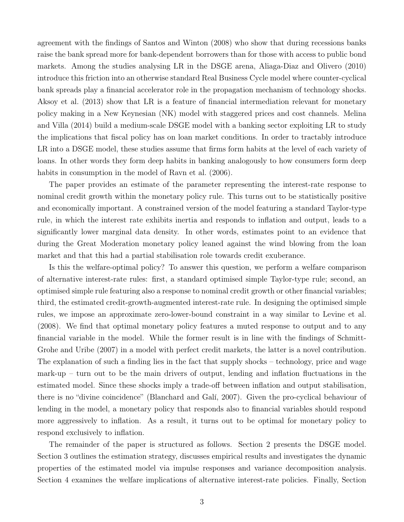agreement with the findings of Santos and Winton (2008) who show that during recessions banks raise the bank spread more for bank-dependent borrowers than for those with access to public bond markets. Among the studies analysing LR in the DSGE arena, Aliaga-Diaz and Olivero (2010) introduce this friction into an otherwise standard Real Business Cycle model where counter-cyclical bank spreads play a financial accelerator role in the propagation mechanism of technology shocks. Aksoy et al. (2013) show that LR is a feature of financial intermediation relevant for monetary policy making in a New Keynesian (NK) model with staggered prices and cost channels. Melina and Villa (2014) build a medium-scale DSGE model with a banking sector exploiting LR to study the implications that fiscal policy has on loan market conditions. In order to tractably introduce LR into a DSGE model, these studies assume that firms form habits at the level of each variety of loans. In other words they form deep habits in banking analogously to how consumers form deep habits in consumption in the model of Ravn et al.  $(2006)$ .

The paper provides an estimate of the parameter representing the interest-rate response to nominal credit growth within the monetary policy rule. This turns out to be statistically positive and economically important. A constrained version of the model featuring a standard Taylor-type rule, in which the interest rate exhibits inertia and responds to inflation and output, leads to a significantly lower marginal data density. In other words, estimates point to an evidence that during the Great Moderation monetary policy leaned against the wind blowing from the loan market and that this had a partial stabilisation role towards credit exuberance.

Is this the welfare-optimal policy? To answer this question, we perform a welfare comparison of alternative interest-rate rules: first, a standard optimised simple Taylor-type rule; second, an optimised simple rule featuring also a response to nominal credit growth or other financial variables; third, the estimated credit-growth-augmented interest-rate rule. In designing the optimised simple rules, we impose an approximate zero-lower-bound constraint in a way similar to Levine et al. (2008). We find that optimal monetary policy features a muted response to output and to any financial variable in the model. While the former result is in line with the findings of Schmitt-Grohe and Uribe (2007) in a model with perfect credit markets, the latter is a novel contribution. The explanation of such a finding lies in the fact that supply shocks – technology, price and wage mark-up – turn out to be the main drivers of output, lending and inflation fluctuations in the estimated model. Since these shocks imply a trade-off between inflation and output stabilisation, there is no "divine coincidence" (Blanchard and Galí, 2007). Given the pro-cyclical behaviour of lending in the model, a monetary policy that responds also to financial variables should respond more aggressively to inflation. As a result, it turns out to be optimal for monetary policy to respond exclusively to inflation.

The remainder of the paper is structured as follows. Section 2 presents the DSGE model. Section 3 outlines the estimation strategy, discusses empirical results and investigates the dynamic properties of the estimated model via impulse responses and variance decomposition analysis. Section 4 examines the welfare implications of alternative interest-rate policies. Finally, Section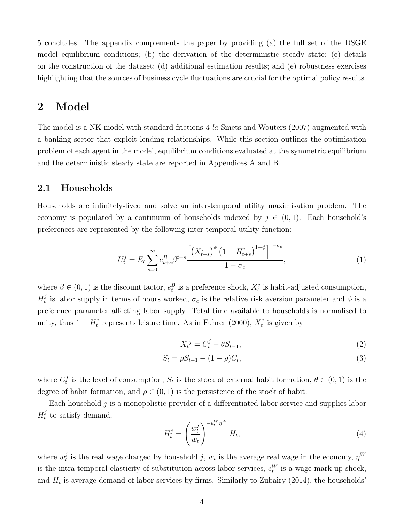5 concludes. The appendix complements the paper by providing (a) the full set of the DSGE model equilibrium conditions; (b) the derivation of the deterministic steady state; (c) details on the construction of the dataset; (d) additional estimation results; and (e) robustness exercises highlighting that the sources of business cycle fluctuations are crucial for the optimal policy results.

# 2 Model

The model is a NK model with standard frictions à la Smets and Wouters (2007) augmented with a banking sector that exploit lending relationships. While this section outlines the optimisation problem of each agent in the model, equilibrium conditions evaluated at the symmetric equilibrium and the deterministic steady state are reported in Appendices A and B.

#### 2.1 Households

Households are infinitely-lived and solve an inter-temporal utility maximisation problem. The economy is populated by a continuum of households indexed by  $j \in (0,1)$ . Each household's preferences are represented by the following inter-temporal utility function:

$$
U_t^j = E_t \sum_{s=0}^{\infty} e_{t+s}^B \beta^{t+s} \frac{\left[ \left( X_{t+s}^j \right)^{\phi} \left( 1 - H_{t+s}^j \right)^{1-\phi} \right]^{1-\sigma_c}}{1-\sigma_c}, \tag{1}
$$

where  $\beta \in (0, 1)$  is the discount factor,  $e_t^B$  is a preference shock,  $X_t^j$  $t<sub>t</sub><sup>j</sup>$  is habit-adjusted consumption,  $H_t^j$ <sup>j</sup> is labor supply in terms of hours worked,  $\sigma_c$  is the relative risk aversion parameter and  $\phi$  is a preference parameter affecting labor supply. Total time available to households is normalised to unity, thus  $1 - H_t^j$  $t_t^j$  represents leisure time. As in Fuhrer (2000),  $X_t^j$  $t^j$  is given by

$$
X_t^j = C_t^j - \theta S_{t-1},\tag{2}
$$

$$
S_t = \rho S_{t-1} + (1 - \rho) C_t,\tag{3}
$$

where  $C_t^j$  $t<sub>t</sub><sup>j</sup>$  is the level of consumption,  $S<sub>t</sub>$  is the stock of external habit formation,  $\theta \in (0,1)$  is the degree of habit formation, and  $\rho \in (0,1)$  is the persistence of the stock of habit.

Each household  $j$  is a monopolistic provider of a differentiated labor service and supplies labor  $H_t^j$  $t<sup>j</sup>$  to satisfy demand,

$$
H_t^j = \left(\frac{w_t^j}{w_t}\right)^{-e_t^W \eta^W} H_t,
$$
\n<sup>(4)</sup>

where  $w_t^j$  $t_i$  is the real wage charged by household j,  $w_t$  is the average real wage in the economy,  $\eta^W$ is the intra-temporal elasticity of substitution across labor services,  $e_t^W$  is a wage mark-up shock, and  $H_t$  is average demand of labor services by firms. Similarly to Zubairy (2014), the households'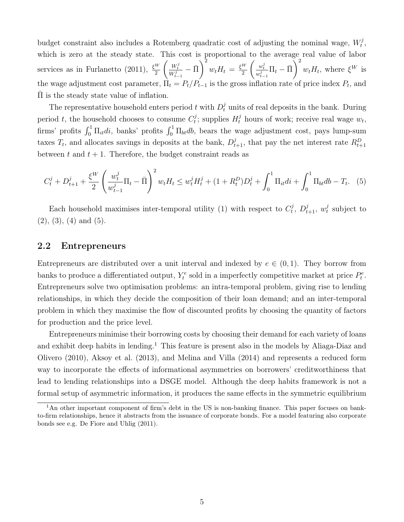budget constraint also includes a Rotemberg quadratic cost of adjusting the nominal wage,  $W_t^j$  $_t^j,$ which is zero at the steady state. This cost is proportional to the average real value of labor services as in Furlanetto (2011),  $\frac{\xi^W}{2}$  $\left(\frac{W_t^j}{W_{t-1}^j}-\bar{\Pi}\right)$  $\setminus^2$  $w_t H_t = \frac{\xi^W}{2}$ 2  $\left(\frac{w_t^j}{w_{t-1}^j}\Pi_t - \bar{\Pi}\right)$  $\bigvee^2$  $w_t H_t$ , where  $\xi^W$  is the wage adjustment cost parameter,  $\Pi_t = P_t/P_{t-1}$  is the gross inflation rate of price index  $P_t$ , and  $\Pi$  is the steady state value of inflation.

The representative household enters period t with  $D_t^j$  units of real deposits in the bank. During period t, the household chooses to consume  $C_t^j$  $t_i^j$ ; supplies  $H_t^j$  hours of work; receive real wage  $w_t$ , firms' profits  $\int_0^1 \Pi_{it} di$ , banks' profits  $\int_0^1 \Pi_{bt} db$ , bears the wage adjustment cost, pays lump-sum taxes  $T_t$ , and allocates savings in deposits at the bank,  $D_{t+1}^j$ , that pay the net interest rate  $R_{t+1}^D$ between t and  $t + 1$ . Therefore, the budget constraint reads as

$$
C_t^j + D_{t+1}^j + \frac{\xi^W}{2} \left( \frac{w_t^j}{w_{t-1}^j} \Pi_t - \bar{\Pi} \right)^2 w_t H_t \leq w_t^j H_t^j + (1 + R_t^D) D_t^j + \int_0^1 \Pi_{it} di + \int_0^1 \Pi_{bt} db - T_t. \tag{5}
$$

Each household maximises inter-temporal utility (1) with respect to  $C_t^j$  $t^{j}, D^{j}_{t+1}, w^{j}_{t}$  $t$  subject to  $(2), (3), (4)$  and  $(5)$ .

#### 2.2 Entrepreneurs

Entrepreneurs are distributed over a unit interval and indexed by  $e \in (0,1)$ . They borrow from banks to produce a differentiated output,  $Y_t^e$  sold in a imperfectly competitive market at price  $P_t^e$ . Entrepreneurs solve two optimisation problems: an intra-temporal problem, giving rise to lending relationships, in which they decide the composition of their loan demand; and an inter-temporal problem in which they maximise the flow of discounted profits by choosing the quantity of factors for production and the price level.

Entrepreneurs minimise their borrowing costs by choosing their demand for each variety of loans and exhibit deep habits in lending.<sup>1</sup> This feature is present also in the models by Aliaga-Diaz and Olivero (2010), Aksoy et al. (2013), and Melina and Villa (2014) and represents a reduced form way to incorporate the effects of informational asymmetries on borrowers' creditworthiness that lead to lending relationships into a DSGE model. Although the deep habits framework is not a formal setup of asymmetric information, it produces the same effects in the symmetric equilibrium

<sup>&</sup>lt;sup>1</sup>An other important component of firm's debt in the US is non-banking finance. This paper focuses on bankto-firm relationships, hence it abstracts from the issuance of corporate bonds. For a model featuring also corporate bonds see e.g. De Fiore and Uhlig (2011).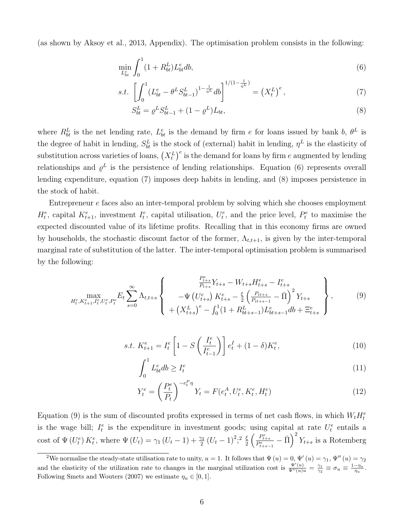(as shown by Aksoy et al., 2013, Appendix). The optimisation problem consists in the following:

$$
\min_{L_{bt}^e} \int_0^1 (1 + R_{bt}^L) L_{bt}^e db,\tag{6}
$$

$$
s.t. \left[ \int_0^1 (L_{bt}^e - \theta^L S_{bt-1}^L)^{1 - \frac{1}{\eta^L}} db \right]^{1/(1 - \frac{1}{\eta^L})} = \left( X_t^L \right)^e, \tag{7}
$$

$$
S_{bt}^L = \rho^L S_{bt-1}^L + (1 - \rho^L) L_{bt},
$$
\n(8)

where  $R_{bt}^L$  is the net lending rate,  $L_{bt}^e$  is the demand by firm e for loans issued by bank b,  $\theta^L$  is the degree of habit in lending,  $S_{bt}^L$  is the stock of (external) habit in lending,  $\eta^L$  is the elasticity of substitution across varieties of loans,  $(X_t^L)^e$  is the demand for loans by firm e augmented by lending relationships and  $\varrho^L$  is the persistence of lending relationships. Equation (6) represents overall lending expenditure, equation (7) imposes deep habits in lending, and (8) imposes persistence in the stock of habit.

Entrepreneur e faces also an inter-temporal problem by solving which she chooses employment  $H_t^e$ , capital  $K_{t+1}^e$ , investment  $I_t^e$ , capital utilisation,  $U_t^e$ , and the price level,  $P_t^e$  to maximise the expected discounted value of its lifetime profits. Recalling that in this economy firms are owned by households, the stochastic discount factor of the former,  $\Lambda_{t,t+1}$ , is given by the inter-temporal marginal rate of substitution of the latter. The inter-temporal optimisation problem is summarised by the following:

$$
\max_{H_t^e, K_{t+1}^e, I_t^e, U_t^e, P_t^e} E_t \sum_{s=0}^{\infty} \Lambda_{t,t+s} \left\{ \begin{array}{c} \frac{P_{t+s}^e}{P_{t+s}} Y_{t+s} - W_{t+s} H_{t+s}^e - I_{t+s}^e \\ -\Psi \left( U_{t+s}^e \right) K_{t+s}^e - \frac{\xi}{2} \left( \frac{P_{it+s}}{P_{it+s-1}} - \bar{\Pi} \right)^2 Y_{t+s} \\ + \left( X_{t+s}^L \right)^e - \int_0^1 (1 + R_{bt+s-1}^L) L_{bt+s-1}^e \, db + \Xi_{t+s}^e \end{array} \right\},\tag{9}
$$

s.t. 
$$
K_{t+1}^e = I_t^e \left[ 1 - S \left( \frac{I_t^e}{I_{t-1}^e} \right) \right] e_t^I + (1 - \delta) K_t^e,
$$
 (10)

$$
\int_0^1 L_{bt}^e db \ge I_t^e \tag{11}
$$

$$
Y_t^e = \left(\frac{P_t^e}{P_t}\right)^{-e_t^P \eta} Y_t = F(e_t^A, U_t^e, K_t^e, H_t^e)
$$
\n(12)

Equation (9) is the sum of discounted profits expressed in terms of net cash flows, in which  $W_t H_t^e$ is the wage bill;  $I_t^e$  is the expenditure in investment goods; using capital at rate  $U_t^e$  entails a cost of  $\Psi(U_t^e) K_t^e$ , where  $\Psi(U_t) = \gamma_1 (U_t - 1) + \frac{\gamma_2}{2} (U_t - 1)^2$ ;  $\frac{5}{2}$  $\frac{\xi}{2} \left( \frac{P_{t+s}^e}{P_{t+s-1}^e} - \bar{\Pi} \right)^2 Y_{t+s}$  is a Rotemberg

<sup>&</sup>lt;sup>2</sup>We normalise the steady-state utilisation rate to unity,  $u = 1$ . It follows that  $\Psi(u) = 0$ ,  $\Psi'(u) = \gamma_1$ ,  $\Psi''(u) = \gamma_2$ and the elasticity of the utilization rate to changes in the marginal utilization cost is  $\frac{\Psi'(u)}{\Psi''(u)u} = \frac{\gamma_1}{\gamma_2} \equiv \sigma_u \equiv \frac{1-\eta_u}{\eta_u}$ . Following Smets and Wouters (2007) we estimate  $\eta_u \in [0,1]$ .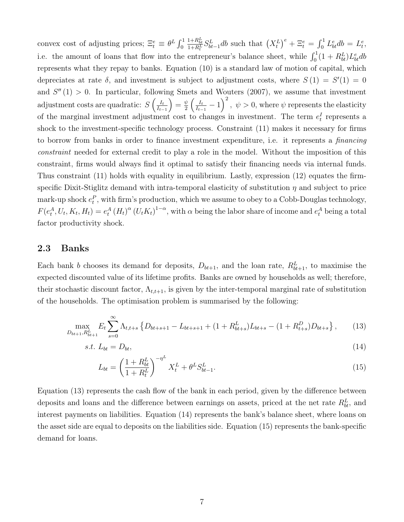convex cost of adjusting prices;  $\Xi_t^e \equiv \theta^L \int_0^1$  $\frac{1+R_{bt}^L}{1+R_t^L} S_{bt-1}^L db$  such that  $(X_t^L)^e + \Xi_t^e = \int_0^1 L_{bt}^e db = L_t^e$ , i.e. the amount of loans that flow into the entrepreneur's balance sheet, while  $\int_0^1 (1 + R_{bt}^L) L_{bt}^e db$ represents what they repay to banks. Equation (10) is a standard law of motion of capital, which depreciates at rate  $\delta$ , and investment is subject to adjustment costs, where  $S(1) = S'(1) = 0$ and  $S''(1) > 0$ . In particular, following Smets and Wouters (2007), we assume that investment adjustment costs are quadratic:  $S\left(\frac{I_t}{I_t}\right)$  $I_{t-1}$  $=\frac{\psi}{2}$  $\frac{\psi}{2}\left(\frac{I_t}{I_t-}\right)$  $\frac{I_t}{I_{t-1}} - 1$ ,  $\psi > 0$ , where  $\psi$  represents the elasticity of the marginal investment adjustment cost to changes in investment. The term  $e_t^I$  represents a shock to the investment-specific technology process. Constraint (11) makes it necessary for firms to borrow from banks in order to finance investment expenditure, i.e. it represents a financing constraint needed for external credit to play a role in the model. Without the imposition of this constraint, firms would always find it optimal to satisfy their financing needs via internal funds. Thus constraint (11) holds with equality in equilibrium. Lastly, expression (12) equates the firmspecific Dixit-Stiglitz demand with intra-temporal elasticity of substitution  $\eta$  and subject to price mark-up shock  $e_t^P$ , with firm's production, which we assume to obey to a Cobb-Douglas technology,  $F(e_t^A, U_t, K_t, H_t) = e_t^A (H_t)^{\alpha} (U_t K_t)^{1-\alpha}$ , with  $\alpha$  being the labor share of income and  $e_t^A$  being a total factor productivity shock.

#### 2.3 Banks

Each bank b chooses its demand for deposits,  $D_{bt+1}$ , and the loan rate,  $R_{bt+1}^L$ , to maximise the expected discounted value of its lifetime profits. Banks are owned by households as well; therefore, their stochastic discount factor,  $\Lambda_{t,t+1}$ , is given by the inter-temporal marginal rate of substitution of the households. The optimisation problem is summarised by the following:

$$
\max_{D_{bt+1}, R_{bt+1}^L} E_t \sum_{s=0}^{\infty} \Lambda_{t,t+s} \left\{ D_{bt+s+1} - L_{bt+s+1} + (1 + R_{bt+s}^L) L_{bt+s} - (1 + R_{t+s}^D) D_{bt+s} \right\},\tag{13}
$$

$$
s.t. L_{bt} = D_{bt}, \tag{14}
$$

$$
L_{bt} = \left(\frac{1 + R_{bt}^L}{1 + R_t^L}\right)^{-\eta^L} X_t^L + \theta^L S_{bt-1}^L.
$$
\n(15)

Equation (13) represents the cash flow of the bank in each period, given by the difference between deposits and loans and the difference between earnings on assets, priced at the net rate  $R_{bt}^L$ , and interest payments on liabilities. Equation (14) represents the bank's balance sheet, where loans on the asset side are equal to deposits on the liabilities side. Equation (15) represents the bank-specific demand for loans.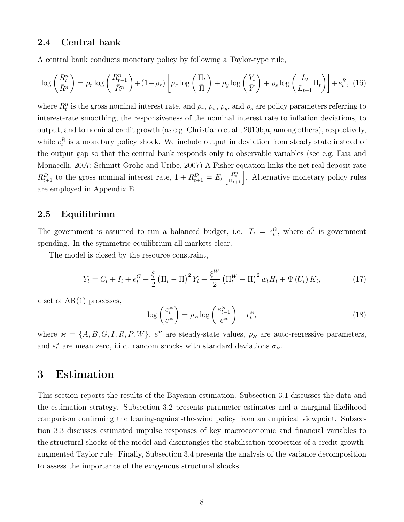#### 2.4 Central bank

A central bank conducts monetary policy by following a Taylor-type rule,

$$
\log\left(\frac{R_t^n}{\bar{R}^n}\right) = \rho_r \log\left(\frac{R_{t-1}^n}{\bar{R}^n}\right) + (1 - \rho_r) \left[\rho_\pi \log\left(\frac{\Pi_t}{\bar{\Pi}}\right) + \rho_y \log\left(\frac{Y_t}{\bar{Y}}\right) + \rho_s \log\left(\frac{L_t}{L_{t-1}}\Pi_t\right)\right] + e_t^R, \tag{16}
$$

where  $R_t^n$  is the gross nominal interest rate, and  $\rho_r$ ,  $\rho_\pi$ ,  $\rho_y$ , and  $\rho_s$  are policy parameters referring to interest-rate smoothing, the responsiveness of the nominal interest rate to inflation deviations, to output, and to nominal credit growth (as e.g. Christiano et al., 2010b,a, among others), respectively, while  $e_t^R$  is a monetary policy shock. We include output in deviation from steady state instead of the output gap so that the central bank responds only to observable variables (see e.g. Faia and Monacelli, 2007; Schmitt-Grohe and Uribe, 2007) A Fisher equation links the net real deposit rate  $R_{t+1}^D$  to the gross nominal interest rate,  $1 + R_{t+1}^D = E_t \left[ \frac{R_t^n}{\Pi_{t+1}} \right]$ . Alternative monetary policy rules are employed in Appendix E.

#### 2.5 Equilibrium

The government is assumed to run a balanced budget, i.e.  $T_t = e_t^G$ , where  $e_t^G$  is government spending. In the symmetric equilibrium all markets clear.

The model is closed by the resource constraint,

$$
Y_t = C_t + I_t + e_t^G + \frac{\xi}{2} \left( \Pi_t - \bar{\Pi} \right)^2 Y_t + \frac{\xi^W}{2} \left( \Pi_t^W - \bar{\Pi} \right)^2 w_t H_t + \Psi \left( U_t \right) K_t, \tag{17}
$$

a set of  $AR(1)$  processes,

$$
\log\left(\frac{e_t^{\varkappa}}{\bar{e}^{\varkappa}}\right) = \rho_{\varkappa} \log\left(\frac{e_{t-1}^{\varkappa}}{\bar{e}^{\varkappa}}\right) + \epsilon_t^{\varkappa},\tag{18}
$$

where  $x = \{A, B, G, I, R, P, W\}, \, \bar{e}^x$  are steady-state values,  $\rho_x$  are auto-regressive parameters, and  $\epsilon_t^{\mathcal{H}}$  $\tilde{t}$  are mean zero, i.i.d. random shocks with standard deviations  $\sigma_{\varkappa}$ .

## 3 Estimation

This section reports the results of the Bayesian estimation. Subsection 3.1 discusses the data and the estimation strategy. Subsection 3.2 presents parameter estimates and a marginal likelihood comparison confirming the leaning-against-the-wind policy from an empirical viewpoint. Subsection 3.3 discusses estimated impulse responses of key macroeconomic and financial variables to the structural shocks of the model and disentangles the stabilisation properties of a credit-growthaugmented Taylor rule. Finally, Subsection 3.4 presents the analysis of the variance decomposition to assess the importance of the exogenous structural shocks.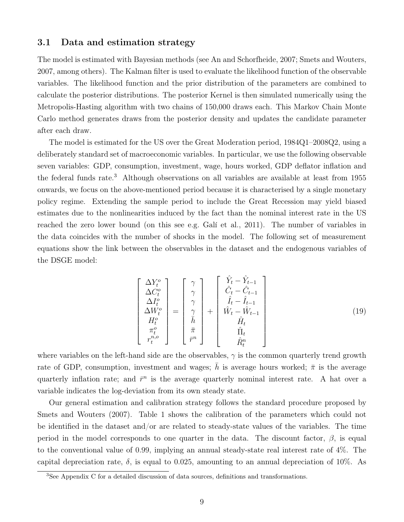#### 3.1 Data and estimation strategy

The model is estimated with Bayesian methods (see An and Schorfheide, 2007; Smets and Wouters, 2007, among others). The Kalman filter is used to evaluate the likelihood function of the observable variables. The likelihood function and the prior distribution of the parameters are combined to calculate the posterior distributions. The posterior Kernel is then simulated numerically using the Metropolis-Hasting algorithm with two chains of 150,000 draws each. This Markov Chain Monte Carlo method generates draws from the posterior density and updates the candidate parameter after each draw.

The model is estimated for the US over the Great Moderation period, 1984Q1–2008Q2, using a deliberately standard set of macroeconomic variables. In particular, we use the following observable seven variables: GDP, consumption, investment, wage, hours worked, GDP deflator inflation and the federal funds rate.<sup>3</sup> Although observations on all variables are available at least from 1955 onwards, we focus on the above-mentioned period because it is characterised by a single monetary policy regime. Extending the sample period to include the Great Recession may yield biased estimates due to the nonlinearities induced by the fact than the nominal interest rate in the US reached the zero lower bound (on this see e.g. Galí et al., 2011). The number of variables in the data coincides with the number of shocks in the model. The following set of measurement equations show the link between the observables in the dataset and the endogenous variables of the DSGE model:

$$
\begin{bmatrix}\n\Delta Y_t^o \\
\Delta C_t^o \\
\Delta I_t^o \\
\Delta W_t^o \\
H_t^o \\
\tau_t^{n,o}\n\end{bmatrix} = \begin{bmatrix}\n\gamma \\
\gamma \\
\gamma \\
\gamma \\
\overline{h} \\
\overline{h} \\
\overline{r}^n\n\end{bmatrix} + \begin{bmatrix}\n\hat{Y}_t - \hat{Y}_{t-1} \\
\hat{C}_t - \hat{C}_{t-1} \\
\hat{I}_t - \hat{I}_{t-1} \\
\hat{I}_t - \hat{V}_{t-1} \\
\hat{H}_t \\
\hat{H}_t \\
\hat{R}_t^n\n\end{bmatrix}
$$
\n(19)

where variables on the left-hand side are the observables,  $\gamma$  is the common quarterly trend growth rate of GDP, consumption, investment and wages;  $\bar{h}$  is average hours worked;  $\bar{\pi}$  is the average quarterly inflation rate; and  $\bar{r}^n$  is the average quarterly nominal interest rate. A hat over a variable indicates the log-deviation from its own steady state.

Our general estimation and calibration strategy follows the standard procedure proposed by Smets and Wouters (2007). Table 1 shows the calibration of the parameters which could not be identified in the dataset and/or are related to steady-state values of the variables. The time period in the model corresponds to one quarter in the data. The discount factor,  $\beta$ , is equal to the conventional value of 0.99, implying an annual steady-state real interest rate of 4%. The capital depreciation rate,  $\delta$ , is equal to 0.025, amounting to an annual depreciation of 10%. As

<sup>3</sup>See Appendix C for a detailed discussion of data sources, definitions and transformations.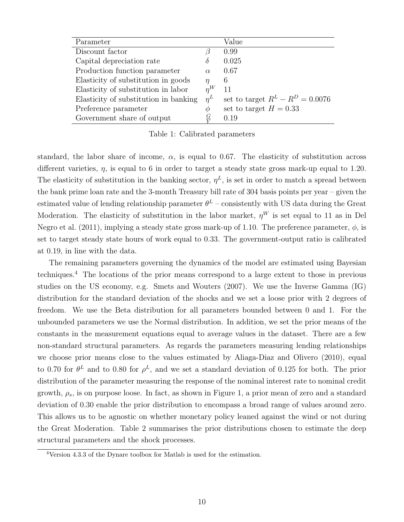| Parameter                             |               | Value                              |
|---------------------------------------|---------------|------------------------------------|
| Discount factor                       |               | 0.99                               |
| Capital depreciation rate             | Ò             | 0.025                              |
| Production function parameter         | $\alpha$      | 0.67                               |
| Elasticity of substitution in goods   | $\eta$        | 6                                  |
| Elasticity of substitution in labor   | $n^{W}$       | 11                                 |
| Elasticity of substitution in banking | $n^L$         | set to target $R^L - R^D = 0.0076$ |
| Preference parameter                  | Ф             | set to target $H = 0.33$           |
| Government share of output            | $\frac{G}{V}$ | 0.19                               |

Table 1: Calibrated parameters

standard, the labor share of income,  $\alpha$ , is equal to 0.67. The elasticity of substitution across different varieties,  $\eta$ , is equal to 6 in order to target a steady state gross mark-up equal to 1.20. The elasticity of substitution in the banking sector,  $\eta^L$ , is set in order to match a spread between the bank prime loan rate and the 3-month Treasury bill rate of 304 basis points per year – given the estimated value of lending relationship parameter  $\theta^L$  – consistently with US data during the Great Moderation. The elasticity of substitution in the labor market,  $\eta^{W}$  is set equal to 11 as in Del Negro et al. (2011), implying a steady state gross mark-up of 1.10. The preference parameter,  $\phi$ , is set to target steady state hours of work equal to 0.33. The government-output ratio is calibrated at 0.19, in line with the data.

The remaining parameters governing the dynamics of the model are estimated using Bayesian techniques.<sup>4</sup> The locations of the prior means correspond to a large extent to those in previous studies on the US economy, e.g. Smets and Wouters (2007). We use the Inverse Gamma (IG) distribution for the standard deviation of the shocks and we set a loose prior with 2 degrees of freedom. We use the Beta distribution for all parameters bounded between 0 and 1. For the unbounded parameters we use the Normal distribution. In addition, we set the prior means of the constants in the measurement equations equal to average values in the dataset. There are a few non-standard structural parameters. As regards the parameters measuring lending relationships we choose prior means close to the values estimated by Aliaga-Diaz and Olivero (2010), equal to 0.70 for  $\theta^L$  and to 0.80 for  $\rho^L$ , and we set a standard deviation of 0.125 for both. The prior distribution of the parameter measuring the response of the nominal interest rate to nominal credit growth,  $\rho_s$ , is on purpose loose. In fact, as shown in Figure 1, a prior mean of zero and a standard deviation of 0.30 enable the prior distribution to encompass a broad range of values around zero. This allows us to be agnostic on whether monetary policy leaned against the wind or not during the Great Moderation. Table 2 summarises the prior distributions chosen to estimate the deep structural parameters and the shock processes.

<sup>4</sup>Version 4.3.3 of the Dynare toolbox for Matlab is used for the estimation.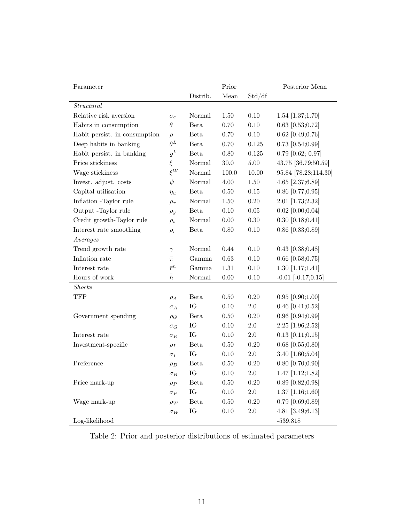| Parameter                     |              |             | Prior    |          | Posterior Mean         |
|-------------------------------|--------------|-------------|----------|----------|------------------------|
|                               |              | Distrib.    | Mean     | Std/df   |                        |
| Structural                    |              |             |          |          |                        |
| Relative risk aversion        | $\sigma_c$   | Normal      | 1.50     | 0.10     | $1.54$ [1.37;1.70]     |
| Habits in consumption         | $\theta$     | <b>Beta</b> | 0.70     | $0.10\,$ | $0.63$ [0.53;0.72]     |
| Habit persist. in consumption | $\rho$       | <b>Beta</b> | 0.70     | 0.10     | $0.62$ [0.49;0.76]     |
| Deep habits in banking        | $\theta^L$   | <b>Beta</b> | 0.70     | 0.125    | $0.73$ [0.54;0.99]     |
| Habit persist. in banking     | $\varrho^L$  | <b>Beta</b> | $0.80\,$ | 0.125    | $0.79$ [0.62; 0.97]    |
| Price stickiness              | $\xi$        | Normal      | $30.0\,$ | $5.00\,$ | 43.75 [36.79;50.59]    |
| Wage stickiness               | $\xi^W$      | Normal      | 100.0    | 10.00    | 95.84 [78.28;114.30]   |
| Invest. adjust. costs         | $\psi$       | Normal      | $4.00\,$ | 1.50     | 4.65 [2.37;6.89]       |
| Capital utilisation           | $\eta_u$     | Beta        | $0.50\,$ | 0.15     | $0.86$ [0.77; $0.95$ ] |
| Inflation -Taylor rule        | $\rho_{\pi}$ | Normal      | 1.50     | $0.20\,$ | 2.01 [1.73;2.32]       |
| Output -Taylor rule           | $\rho_y$     | Beta        | $0.10\,$ | $0.05\,$ | $0.02$ [0.00;0.04]     |
| Credit growth-Taylor rule     | $\rho_s$     | Normal      | $0.00\,$ | $0.30\,$ | $0.30$ [ $0.18;0.41$ ] |
| Interest rate smoothing       | $\rho_r$     | Beta        | $0.80\,$ | 0.10     | $0.86$ [0.83;0.89]     |
| $A \, verages$                |              |             |          |          |                        |
| Trend growth rate             | $\gamma$     | Normal      | 0.44     | 0.10     | $0.43$ [0.38;0.48]     |
| Inflation rate                | $\bar{\pi}$  | Gamma       | 0.63     | 0.10     | $0.66$ [0.58;0.75]     |
| Interest rate                 | $\bar{r}^n$  | Gamma       | 1.31     | 0.10     | $1.30$ [1.17;1.41]     |
| Hours of work                 | $\bar{h}$    | Normal      | $0.00\,$ | 0.10     | $-0.01$ $[-0.17;0.15]$ |
| Shocks                        |              |             |          |          |                        |
| <b>TFP</b>                    | $\rho_A$     | <b>Beta</b> | $0.50\,$ | 0.20     | $0.95$ [0.90;1.00]     |
|                               | $\sigma_A$   | IG          | $0.10\,$ | $2.0\,$  | $0.46$ [0.41;0.52]     |
| Government spending           | $\rho_G$     | Beta        | $0.50\,$ | 0.20     | $0.96$ [0.94;0.99]     |
|                               | $\sigma_G$   | IG          | $0.10\,$ | $2.0\,$  | 2.25 [1.96;2.52]       |
| Interest rate                 | $\sigma_R$   | IG          | $0.10\,$ | $2.0\,$  | $0.13$ [0.11;0.15]     |
| Investment-specific           | $\rho_I$     | <b>Beta</b> | 0.50     | $0.20\,$ | $0.68$ [0.55;0.80]     |
|                               | $\sigma_I$   | IG          | $0.10\,$ | $2.0\,$  | 3.40 [1.60;5.04]       |
| Preference                    | $\rho_B$     | <b>Beta</b> | 0.50     | 0.20     | $0.80$ [0.70;0.90]     |
|                               | $\sigma_B$   | IG          | $0.10\,$ | $2.0\,$  | $1.47$ [1.12;1.82]     |
| Price mark-up                 | $\rho_P$     | Beta        | 0.50     | $0.20\,$ | $0.89$ [0.82;0.98]     |
|                               | $\sigma_P$   | IG          | 0.10     | $2.0\,$  | $1.37$ [1.16;1.60]     |
| Wage mark-up                  | $\rho_W$     | Beta        | $0.50\,$ | $0.20\,$ | $0.79$ [0.69;0.89]     |
|                               | $\sigma_W$   | IG          | 0.10     | $2.0\,$  | 4.81 [3.49;6.13]       |
| Log-likelihood                |              |             |          |          | $-539.818$             |

Table 2: Prior and posterior distributions of estimated parameters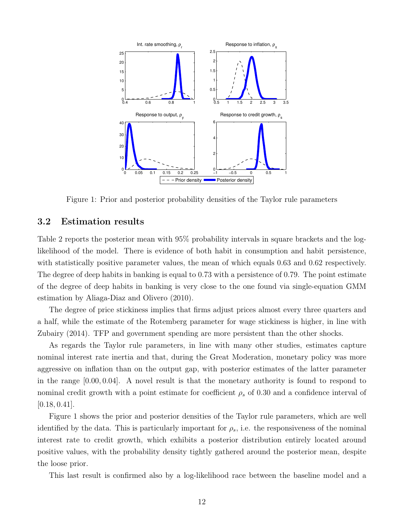

Figure 1: Prior and posterior probability densities of the Taylor rule parameters

#### 3.2 Estimation results

Table 2 reports the posterior mean with 95% probability intervals in square brackets and the loglikelihood of the model. There is evidence of both habit in consumption and habit persistence, with statistically positive parameter values, the mean of which equals 0.63 and 0.62 respectively. The degree of deep habits in banking is equal to 0.73 with a persistence of 0.79. The point estimate of the degree of deep habits in banking is very close to the one found via single-equation GMM estimation by Aliaga-Diaz and Olivero (2010).

The degree of price stickiness implies that firms adjust prices almost every three quarters and a half, while the estimate of the Rotemberg parameter for wage stickiness is higher, in line with Zubairy (2014). TFP and government spending are more persistent than the other shocks.

As regards the Taylor rule parameters, in line with many other studies, estimates capture nominal interest rate inertia and that, during the Great Moderation, monetary policy was more aggressive on inflation than on the output gap, with posterior estimates of the latter parameter in the range [0.00, 0.04]. A novel result is that the monetary authority is found to respond to nominal credit growth with a point estimate for coefficient  $\rho_s$  of 0.30 and a confidence interval of  $[0.18, 0.41]$ .

Figure 1 shows the prior and posterior densities of the Taylor rule parameters, which are well identified by the data. This is particularly important for  $\rho_s$ , i.e. the responsiveness of the nominal interest rate to credit growth, which exhibits a posterior distribution entirely located around positive values, with the probability density tightly gathered around the posterior mean, despite the loose prior.

This last result is confirmed also by a log-likelihood race between the baseline model and a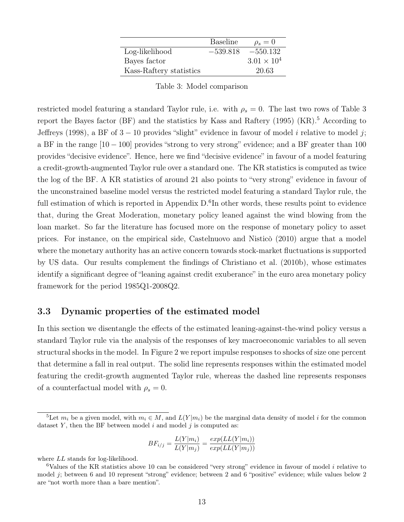|                         | <b>Baseline</b> | $\rho_s=0$           |
|-------------------------|-----------------|----------------------|
| Log-likelihood          | $-539.818$      | $-550.132$           |
| Bayes factor            |                 | $3.01 \times 10^{4}$ |
| Kass-Raftery statistics |                 | 20.63                |

Table 3: Model comparison

restricted model featuring a standard Taylor rule, i.e. with  $\rho_s = 0$ . The last two rows of Table 3 report the Bayes factor (BF) and the statistics by Kass and Raftery (1995) (KR).<sup>5</sup> According to Jeffreys (1998), a BF of  $3-10$  provides "slight" evidence in favour of model i relative to model j; a BF in the range [10 − 100] provides "strong to very strong" evidence; and a BF greater than 100 provides "decisive evidence". Hence, here we find "decisive evidence" in favour of a model featuring a credit-growth-augmented Taylor rule over a standard one. The KR statistics is computed as twice the log of the BF. A KR statistics of around 21 also points to "very strong" evidence in favour of the unconstrained baseline model versus the restricted model featuring a standard Taylor rule, the full estimation of which is reported in Appendix D.<sup>6</sup>In other words, these results point to evidence that, during the Great Moderation, monetary policy leaned against the wind blowing from the loan market. So far the literature has focused more on the response of monetary policy to asset prices. For instance, on the empirical side, Castelnuovo and Nisticò (2010) argue that a model where the monetary authority has an active concern towards stock-market fluctuations is supported by US data. Our results complement the findings of Christiano et al. (2010b), whose estimates identify a significant degree of "leaning against credit exuberance" in the euro area monetary policy framework for the period 1985Q1-2008Q2.

#### 3.3 Dynamic properties of the estimated model

In this section we disentangle the effects of the estimated leaning-against-the-wind policy versus a standard Taylor rule via the analysis of the responses of key macroeconomic variables to all seven structural shocks in the model. In Figure 2 we report impulse responses to shocks of size one percent that determine a fall in real output. The solid line represents responses within the estimated model featuring the credit-growth augmented Taylor rule, whereas the dashed line represents responses of a counterfactual model with  $\rho_s = 0$ .

$$
BF_{i/j} = \frac{L(Y|m_i)}{L(Y|m_j)} = \frac{exp(LL(Y|m_i))}{exp(LL(Y|m_j))}
$$

where  $LL$  stands for log-likelihood.

<sup>&</sup>lt;sup>5</sup>Let  $m_i$  be a given model, with  $m_i \in M$ , and  $L(Y|m_i)$  be the marginal data density of model i for the common dataset Y, then the BF between model  $i$  and model  $j$  is computed as:

 ${}^6$ Values of the KR statistics above 10 can be considered "very strong" evidence in favour of model i relative to model j; between 6 and 10 represent "strong" evidence; between 2 and 6 "positive" evidence; while values below 2 are "not worth more than a bare mention".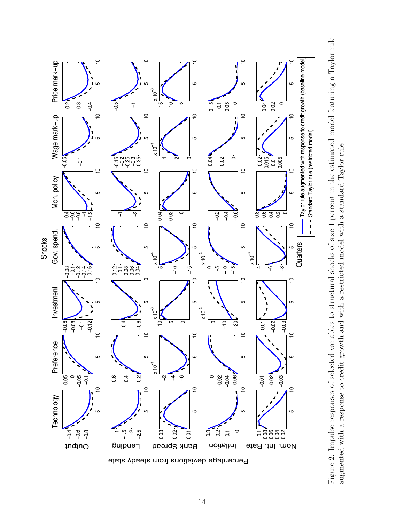

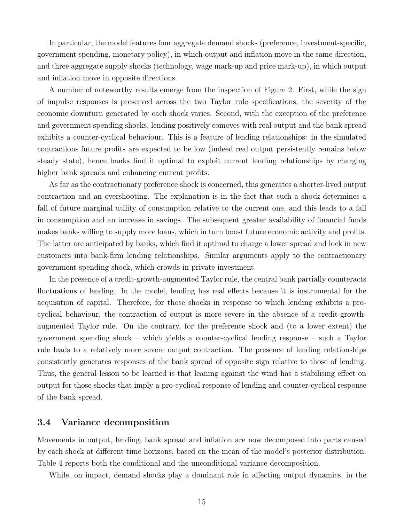In particular, the model features four aggregate demand shocks (preference, investment-specific, government spending, monetary policy), in which output and inflation move in the same direction, and three aggregate supply shocks (technology, wage mark-up and price mark-up), in which output and inflation move in opposite directions.

A number of noteworthy results emerge from the inspection of Figure 2. First, while the sign of impulse responses is preserved across the two Taylor rule specifications, the severity of the economic downturn generated by each shock varies. Second, with the exception of the preference and government spending shocks, lending positively comoves with real output and the bank spread exhibits a counter-cyclical behaviour. This is a feature of lending relationships: in the simulated contractions future profits are expected to be low (indeed real output persistently remains below steady state), hence banks find it optimal to exploit current lending relationships by charging higher bank spreads and enhancing current profits.

As far as the contractionary preference shock is concerned, this generates a shorter-lived output contraction and an overshooting. The explanation is in the fact that such a shock determines a fall of future marginal utility of consumption relative to the current one, and this leads to a fall in consumption and an increase in savings. The subsequent greater availability of financial funds makes banks willing to supply more loans, which in turn boost future economic activity and profits. The latter are anticipated by banks, which find it optimal to charge a lower spread and lock in new customers into bank-firm lending relationships. Similar arguments apply to the contractionary government spending shock, which crowds in private investment.

In the presence of a credit-growth-augmented Taylor rule, the central bank partially counteracts fluctuations of lending. In the model, lending has real effects because it is instrumental for the acquisition of capital. Therefore, for those shocks in response to which lending exhibits a procyclical behaviour, the contraction of output is more severe in the absence of a credit-growthaugmented Taylor rule. On the contrary, for the preference shock and (to a lower extent) the government spending shock – which yields a counter-cyclical lending response – such a Taylor rule leads to a relatively more severe output contraction. The presence of lending relationships consistently generates responses of the bank spread of opposite sign relative to those of lending. Thus, the general lesson to be learned is that leaning against the wind has a stabilising effect on output for those shocks that imply a pro-cyclical response of lending and counter-cyclical response of the bank spread.

#### 3.4 Variance decomposition

Movements in output, lending, bank spread and inflation are now decomposed into parts caused by each shock at different time horizons, based on the mean of the model's posterior distribution. Table 4 reports both the conditional and the unconditional variance decomposition.

While, on impact, demand shocks play a dominant role in affecting output dynamics, in the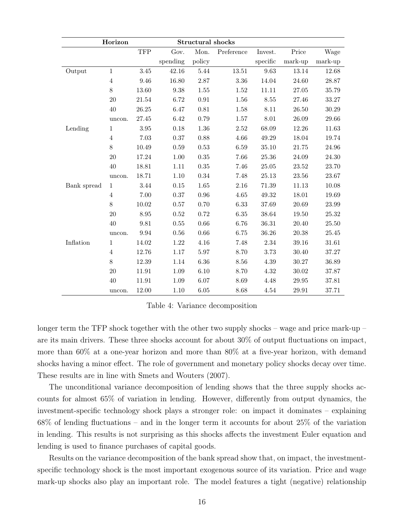|             | Horizon<br><b>Structural shocks</b> |            |                     |        |                                                      |          |           |         |
|-------------|-------------------------------------|------------|---------------------|--------|------------------------------------------------------|----------|-----------|---------|
|             |                                     | <b>TFP</b> | Gov.                | Mon.   | $\begin{array}{lll} \mathrm{Preference} \end{array}$ | Invest.  | Price     | Wage    |
|             |                                     |            | spending            | policy |                                                      | specific | mark-up   | mark-up |
| Output      | $\,1\,$                             | $3.45\,$   | 42.16               | 5.44   | 13.51                                                | 9.63     | 13.14     | 12.68   |
|             | $\overline{4}$                      | 9.46       | 16.80               | 2.87   | $3.36\,$                                             | 14.04    | 24.60     | 28.87   |
|             | 8                                   | 13.60      | $\boldsymbol{9.38}$ | 1.55   | 1.52                                                 | 11.11    | 27.05     | 35.79   |
|             | $20\,$                              | 21.54      | 6.72                | 0.91   | 1.56                                                 | 8.55     | 27.46     | 33.27   |
|             | 40                                  | 26.25      | 6.47                | 0.81   | $1.58\,$                                             | 8.11     | $26.50\,$ | 30.29   |
|             | uncon.                              | 27.45      | 6.42                | 0.79   | 1.57                                                 | $8.01\,$ | 26.09     | 29.66   |
| Lending     | $1\,$                               | 3.95       | 0.18                | 1.36   | 2.52                                                 | 68.09    | 12.26     | 11.63   |
|             | $\overline{4}$                      | 7.03       | 0.37                | 0.88   | 4.66                                                 | 49.29    | 18.04     | 19.74   |
|             | 8                                   | 10.49      | 0.59                | 0.53   | 6.59                                                 | 35.10    | 21.75     | 24.96   |
|             | 20                                  | 17.24      | 1.00                | 0.35   | 7.66                                                 | 25.36    | 24.09     | 24.30   |
|             | 40                                  | 18.81      | 1.11                | 0.35   | 7.46                                                 | 25.05    | 23.52     | 23.70   |
|             | uncon.                              | 18.71      | 1.10                | 0.34   | 7.48                                                 | 25.13    | 23.56     | 23.67   |
| Bank spread | $1\,$                               | 3.44       | 0.15                | 1.65   | 2.16                                                 | 71.39    | 11.13     | 10.08   |
|             | $\overline{4}$                      | 7.00       | 0.37                | 0.96   | 4.65                                                 | 49.32    | 18.01     | 19.69   |
|             | 8                                   | 10.02      | 0.57                | 0.70   | 6.33                                                 | 37.69    | 20.69     | 23.99   |
|             | $20\,$                              | 8.95       | 0.52                | 0.72   | 6.35                                                 | 38.64    | 19.50     | 25.32   |
|             | 40                                  | 9.81       | 0.55                | 0.66   | 6.76                                                 | 36.31    | 20.40     | 25.50   |
|             | uncon.                              | 9.94       | 0.56                | 0.66   | 6.75                                                 | 36.26    | 20.38     | 25.45   |
| Inflation   | 1                                   | 14.02      | 1.22                | 4.16   | 7.48                                                 | 2.34     | 39.16     | 31.61   |
|             | $\overline{4}$                      | 12.76      | 1.17                | 5.97   | 8.70                                                 | 3.73     | 30.40     | 37.27   |
|             | $8\,$                               | 12.39      | 1.14                | 6.36   | 8.56                                                 | 4.39     | 30.27     | 36.89   |
|             | 20                                  | 11.91      | 1.09                | 6.10   | 8.70                                                 | 4.32     | 30.02     | 37.87   |
|             | 40                                  | 11.91      | $1.09\,$            | 6.07   | 8.69                                                 | 4.48     | $29.95\,$ | 37.81   |
|             | uncon.                              | 12.00      | 1.10                | 6.05   | 8.68                                                 | 4.54     | 29.91     | 37.71   |

Table 4: Variance decomposition

longer term the TFP shock together with the other two supply shocks – wage and price mark-up – are its main drivers. These three shocks account for about 30% of output fluctuations on impact, more than 60% at a one-year horizon and more than 80% at a five-year horizon, with demand shocks having a minor effect. The role of government and monetary policy shocks decay over time. These results are in line with Smets and Wouters (2007).

The unconditional variance decomposition of lending shows that the three supply shocks accounts for almost 65% of variation in lending. However, differently from output dynamics, the investment-specific technology shock plays a stronger role: on impact it dominates – explaining 68% of lending fluctuations – and in the longer term it accounts for about 25% of the variation in lending. This results is not surprising as this shocks affects the investment Euler equation and lending is used to finance purchases of capital goods.

Results on the variance decomposition of the bank spread show that, on impact, the investmentspecific technology shock is the most important exogenous source of its variation. Price and wage mark-up shocks also play an important role. The model features a tight (negative) relationship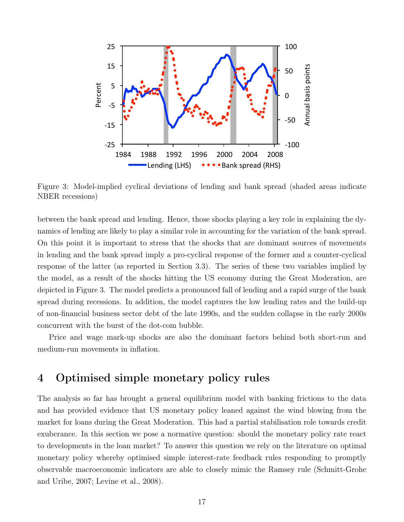

Figure 3: Model-implied cyclical deviations of lending and bank spread (shaded areas indicate NBER recessions)

between the bank spread and lending. Hence, those shocks playing a key role in explaining the dynamics of lending are likely to play a similar role in accounting for the variation of the bank spread. On this point it is important to stress that the shocks that are dominant sources of movements in lending and the bank spread imply a pro-cyclical response of the former and a counter-cyclical response of the latter (as reported in Section 3.3). The series of these two variables implied by the model, as a result of the shocks hitting the US economy during the Great Moderation, are depicted in Figure 3. The model predicts a pronounced fall of lending and a rapid surge of the bank spread during recessions. In addition, the model captures the low lending rates and the build-up of non-financial business sector debt of the late 1990s, and the sudden collapse in the early 2000s concurrent with the burst of the dot-com bubble.

Price and wage mark-up shocks are also the dominant factors behind both short-run and medium-run movements in inflation.

# 4 Optimised simple monetary policy rules

The analysis so far has brought a general equilibrium model with banking frictions to the data and has provided evidence that US monetary policy leaned against the wind blowing from the market for loans during the Great Moderation. This had a partial stabilisation role towards credit exuberance. In this section we pose a normative question: should the monetary policy rate react to developments in the loan market? To answer this question we rely on the literature on optimal monetary policy whereby optimised simple interest-rate feedback rules responding to promptly observable macroeconomic indicators are able to closely mimic the Ramsey rule (Schmitt-Grohe and Uribe, 2007; Levine et al., 2008).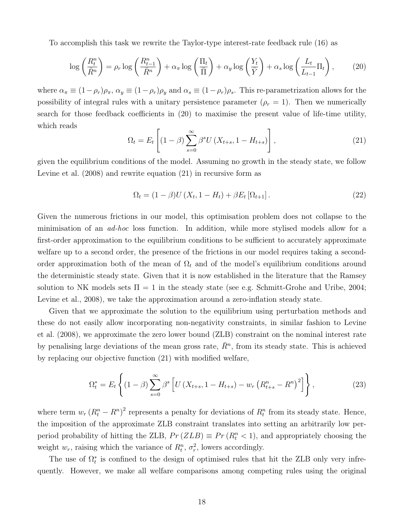To accomplish this task we rewrite the Taylor-type interest-rate feedback rule (16) as

$$
\log\left(\frac{R_t^n}{\bar{R}^n}\right) = \rho_r \log\left(\frac{R_{t-1}^n}{\bar{R}^n}\right) + \alpha_\pi \log\left(\frac{\Pi_t}{\bar{\Pi}}\right) + \alpha_y \log\left(\frac{Y_t}{\bar{Y}}\right) + \alpha_s \log\left(\frac{L_t}{L_{t-1}}\Pi_t\right),\tag{20}
$$

where  $\alpha_{\pi} \equiv (1-\rho_r)\rho_{\pi}$ ,  $\alpha_y \equiv (1-\rho_r)\rho_y$  and  $\alpha_s \equiv (1-\rho_r)\rho_s$ . This re-parametrization allows for the possibility of integral rules with a unitary persistence parameter  $(\rho_r = 1)$ . Then we numerically search for those feedback coefficients in (20) to maximise the present value of life-time utility, which reads

$$
\Omega_t = E_t \left[ (1 - \beta) \sum_{s=0}^{\infty} \beta^s U \left( X_{t+s}, 1 - H_{t+s} \right) \right], \tag{21}
$$

given the equilibrium conditions of the model. Assuming no growth in the steady state, we follow Levine et al. (2008) and rewrite equation (21) in recursive form as

$$
\Omega_t = (1 - \beta)U(X_t, 1 - H_t) + \beta E_t[\Omega_{t+1}].
$$
\n(22)

Given the numerous frictions in our model, this optimisation problem does not collapse to the minimisation of an ad-hoc loss function. In addition, while more stylised models allow for a first-order approximation to the equilibrium conditions to be sufficient to accurately approximate welfare up to a second order, the presence of the frictions in our model requires taking a secondorder approximation both of the mean of  $\Omega_t$  and of the model's equilibrium conditions around the deterministic steady state. Given that it is now established in the literature that the Ramsey solution to NK models sets  $\Pi = 1$  in the steady state (see e.g. Schmitt-Grohe and Uribe, 2004; Levine et al., 2008), we take the approximation around a zero-inflation steady state.

Given that we approximate the solution to the equilibrium using perturbation methods and these do not easily allow incorporating non-negativity constraints, in similar fashion to Levine et al. (2008), we approximate the zero lower bound (ZLB) constraint on the nominal interest rate by penalising large deviations of the mean gross rate,  $\bar{R}^n$ , from its steady state. This is achieved by replacing our objective function (21) with modified welfare,

$$
\Omega_t^* = E_t \left\{ (1 - \beta) \sum_{s=0}^{\infty} \beta^s \left[ U \left( X_{t+s}, 1 - H_{t+s} \right) - w_r \left( R_{t+s}^n - R^n \right)^2 \right] \right\},\tag{23}
$$

where term  $w_r (R_t^n - R^n)^2$  represents a penalty for deviations of  $R_t^n$  from its steady state. Hence, the imposition of the approximate ZLB constraint translates into setting an arbitrarily low perperiod probability of hitting the ZLB,  $Pr(ZLB) \equiv Pr(R_t^n < 1)$ , and appropriately choosing the weight  $w_r$ , raising which the variance of  $R_t^n$ ,  $\sigma_r^2$ , lowers accordingly.

The use of  $\Omega_t^*$  is confined to the design of optimised rules that hit the ZLB only very infrequently. However, we make all welfare comparisons among competing rules using the original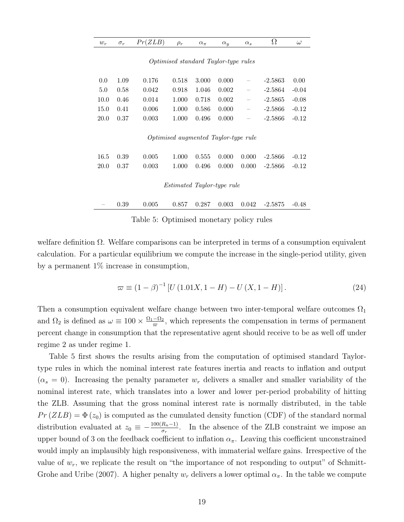| <i>Optimised standard Taylor-type rules</i> |      |       |                                      |       |       |                          |           |         |  |
|---------------------------------------------|------|-------|--------------------------------------|-------|-------|--------------------------|-----------|---------|--|
| 0.0                                         | 1.09 | 0.176 | 0.518                                | 3.000 | 0.000 | $\overline{\phantom{0}}$ | $-2.5863$ | 0.00    |  |
| 5.0                                         | 0.58 | 0.042 | 0.918                                | 1.046 | 0.002 | $\qquad \qquad -$        | $-2.5864$ | $-0.04$ |  |
| 10.0                                        | 0.46 | 0.014 | 1.000                                | 0.718 | 0.002 | $\overline{\phantom{0}}$ | $-2.5865$ | $-0.08$ |  |
| 15.0                                        | 0.41 | 0.006 | 1.000                                | 0.586 | 0.000 | $\overline{\phantom{0}}$ | $-2.5866$ | $-0.12$ |  |
| <b>20.0</b>                                 | 0.37 | 0.003 | 1.000                                | 0.496 | 0.000 | $\qquad \qquad -$        | $-2.5866$ | $-0.12$ |  |
|                                             |      |       | Optimised augmented Taylor-type rule |       |       |                          |           |         |  |
| 16.5                                        | 0.39 | 0.005 | 1.000                                | 0.555 | 0.000 | 0.000                    | $-2.5866$ | $-0.12$ |  |
| 20.0                                        | 0.37 | 0.003 | 1.000                                | 0.496 | 0.000 | 0.000                    | $-2.5866$ | $-0.12$ |  |
|                                             |      |       | <i>Estimated Taylor-type rule</i>    |       |       |                          |           |         |  |
|                                             | 0.39 | 0.005 | 0.857                                | 0.287 | 0.003 | 0.042                    | $-2.5875$ | $-0.48$ |  |

 $w_r$  σ<sub>r</sub>  $Pr(ZLB)$   $\rho_r$   $\alpha_{\pi}$   $\alpha_y$   $\alpha_s$   $\Omega$   $\omega$ 

Table 5: Optimised monetary policy rules

welfare definition Ω. Welfare comparisons can be interpreted in terms of a consumption equivalent calculation. For a particular equilibrium we compute the increase in the single-period utility, given by a permanent  $1\%$  increase in consumption,

$$
\varpi \equiv (1 - \beta)^{-1} \left[ U \left( 1.01X, 1 - H \right) - U \left( X, 1 - H \right) \right]. \tag{24}
$$

Then a consumption equivalent welfare change between two inter-temporal welfare outcomes  $\Omega_1$ and  $\Omega_2$  is defined as  $\omega \equiv 100 \times \frac{\Omega_1 - \Omega_2}{\pi}$  $\frac{-\Omega_2}{\varpi}$ , which represents the compensation in terms of permanent percent change in consumption that the representative agent should receive to be as well off under regime 2 as under regime 1.

Table 5 first shows the results arising from the computation of optimised standard Taylortype rules in which the nominal interest rate features inertia and reacts to inflation and output  $(\alpha_s = 0)$ . Increasing the penalty parameter  $w_r$  delivers a smaller and smaller variability of the nominal interest rate, which translates into a lower and lower per-period probability of hitting the ZLB. Assuming that the gross nominal interest rate is normally distributed, in the table  $Pr(ZLB) = \Phi(z_0)$  is computed as the cumulated density function (CDF) of the standard normal distribution evaluated at  $z_0 \equiv -\frac{100(R_n-1)}{G_n}$  $\frac{R_n-1}{\sigma_r}$ . In the absence of the ZLB constraint we impose an upper bound of 3 on the feedback coefficient to inflation  $\alpha_{\pi}$ . Leaving this coefficient unconstrained would imply an implausibly high responsiveness, with immaterial welfare gains. Irrespective of the value of  $w_r$ , we replicate the result on "the importance of not responding to output" of Schmitt-Grohe and Uribe (2007). A higher penalty  $w_r$  delivers a lower optimal  $\alpha_{\pi}$ . In the table we compute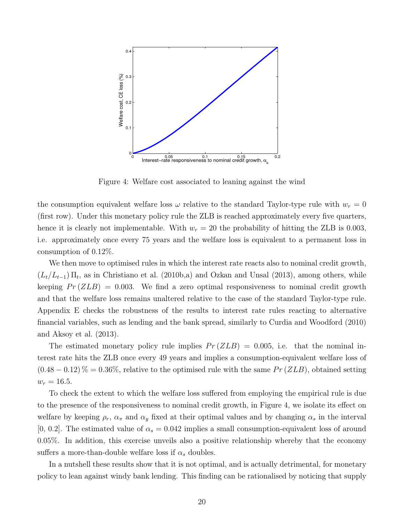

Figure 4: Welfare cost associated to leaning against the wind

the consumption equivalent welfare loss  $\omega$  relative to the standard Taylor-type rule with  $w_r = 0$ (first row). Under this monetary policy rule the ZLB is reached approximately every five quarters, hence it is clearly not implementable. With  $w_r = 20$  the probability of hitting the ZLB is 0.003, i.e. approximately once every 75 years and the welfare loss is equivalent to a permanent loss in consumption of 0.12%.

We then move to optimised rules in which the interest rate reacts also to nominal credit growth,  $(L_t/L_{t-1})$   $\Pi_t$ , as in Christiano et al. (2010b,a) and Ozkan and Unsal (2013), among others, while keeping  $Pr(ZLB) = 0.003$ . We find a zero optimal responsiveness to nominal credit growth and that the welfare loss remains unaltered relative to the case of the standard Taylor-type rule. Appendix E checks the robustness of the results to interest rate rules reacting to alternative financial variables, such as lending and the bank spread, similarly to Curdia and Woodford (2010) and Aksoy et al. (2013).

The estimated monetary policy rule implies  $Pr(ZLB) = 0.005$ , i.e. that the nominal interest rate hits the ZLB once every 49 years and implies a consumption-equivalent welfare loss of  $(0.48 - 0.12)$ % = 0.36%, relative to the optimised rule with the same  $Pr(ZLB)$ , obtained setting  $w_r = 16.5$ .

To check the extent to which the welfare loss suffered from employing the empirical rule is due to the presence of the responsiveness to nominal credit growth, in Figure 4, we isolate its effect on welfare by keeping  $\rho_r$ ,  $\alpha_\pi$  and  $\alpha_y$  fixed at their optimal values and by changing  $\alpha_s$  in the interval [0, 0.2]. The estimated value of  $\alpha_s = 0.042$  implies a small consumption-equivalent loss of around 0.05%. In addition, this exercise unveils also a positive relationship whereby that the economy suffers a more-than-double welfare loss if  $\alpha_s$  doubles.

In a nutshell these results show that it is not optimal, and is actually detrimental, for monetary policy to lean against windy bank lending. This finding can be rationalised by noticing that supply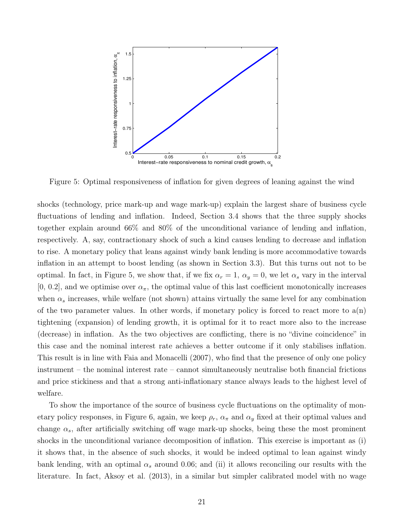

Figure 5: Optimal responsiveness of inflation for given degrees of leaning against the wind

shocks (technology, price mark-up and wage mark-up) explain the largest share of business cycle fluctuations of lending and inflation. Indeed, Section 3.4 shows that the three supply shocks together explain around 66% and 80% of the unconditional variance of lending and inflation, respectively. A, say, contractionary shock of such a kind causes lending to decrease and inflation to rise. A monetary policy that leans against windy bank lending is more accommodative towards inflation in an attempt to boost lending (as shown in Section 3.3). But this turns out not to be optimal. In fact, in Figure 5, we show that, if we fix  $\alpha_r = 1$ ,  $\alpha_y = 0$ , we let  $\alpha_s$  vary in the interval  $[0, 0.2]$ , and we optimise over  $\alpha_{\pi}$ , the optimal value of this last coefficient monotonically increases when  $\alpha_s$  increases, while welfare (not shown) attains virtually the same level for any combination of the two parameter values. In other words, if monetary policy is forced to react more to  $a(n)$ tightening (expansion) of lending growth, it is optimal for it to react more also to the increase (decrease) in inflation. As the two objectives are conflicting, there is no "divine coincidence" in this case and the nominal interest rate achieves a better outcome if it only stabilises inflation. This result is in line with Faia and Monacelli (2007), who find that the presence of only one policy instrument – the nominal interest rate – cannot simultaneously neutralise both financial frictions and price stickiness and that a strong anti-inflationary stance always leads to the highest level of welfare.

To show the importance of the source of business cycle fluctuations on the optimality of monetary policy responses, in Figure 6, again, we keep  $\rho_r$ ,  $\alpha_{\pi}$  and  $\alpha_y$  fixed at their optimal values and change  $\alpha_s$ , after artificially switching off wage mark-up shocks, being these the most prominent shocks in the unconditional variance decomposition of inflation. This exercise is important as (i) it shows that, in the absence of such shocks, it would be indeed optimal to lean against windy bank lending, with an optimal  $\alpha_s$  around 0.06; and (ii) it allows reconciling our results with the literature. In fact, Aksoy et al. (2013), in a similar but simpler calibrated model with no wage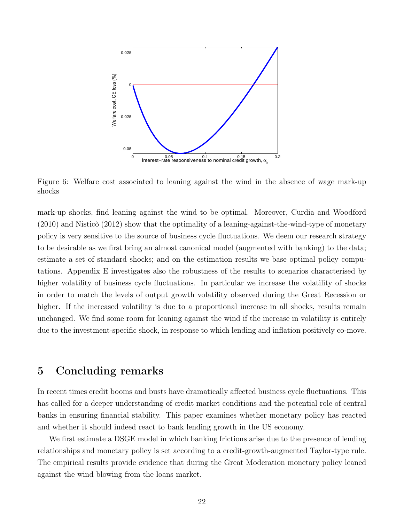

Figure 6: Welfare cost associated to leaning against the wind in the absence of wage mark-up shocks

mark-up shocks, find leaning against the wind to be optimal. Moreover, Curdia and Woodford (2010) and Nisticò (2012) show that the optimality of a leaning-against-the-wind-type of monetary policy is very sensitive to the source of business cycle fluctuations. We deem our research strategy to be desirable as we first bring an almost canonical model (augmented with banking) to the data; estimate a set of standard shocks; and on the estimation results we base optimal policy computations. Appendix E investigates also the robustness of the results to scenarios characterised by higher volatility of business cycle fluctuations. In particular we increase the volatility of shocks in order to match the levels of output growth volatility observed during the Great Recession or higher. If the increased volatility is due to a proportional increase in all shocks, results remain unchanged. We find some room for leaning against the wind if the increase in volatility is entirely due to the investment-specific shock, in response to which lending and inflation positively co-move.

## 5 Concluding remarks

In recent times credit booms and busts have dramatically affected business cycle fluctuations. This has called for a deeper understanding of credit market conditions and the potential role of central banks in ensuring financial stability. This paper examines whether monetary policy has reacted and whether it should indeed react to bank lending growth in the US economy.

We first estimate a DSGE model in which banking frictions arise due to the presence of lending relationships and monetary policy is set according to a credit-growth-augmented Taylor-type rule. The empirical results provide evidence that during the Great Moderation monetary policy leaned against the wind blowing from the loans market.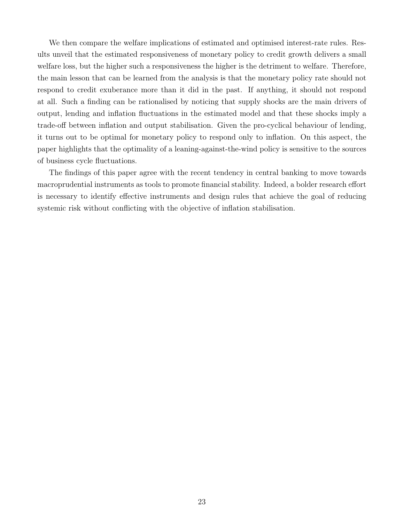We then compare the welfare implications of estimated and optimised interest-rate rules. Results unveil that the estimated responsiveness of monetary policy to credit growth delivers a small welfare loss, but the higher such a responsiveness the higher is the detriment to welfare. Therefore, the main lesson that can be learned from the analysis is that the monetary policy rate should not respond to credit exuberance more than it did in the past. If anything, it should not respond at all. Such a finding can be rationalised by noticing that supply shocks are the main drivers of output, lending and inflation fluctuations in the estimated model and that these shocks imply a trade-off between inflation and output stabilisation. Given the pro-cyclical behaviour of lending, it turns out to be optimal for monetary policy to respond only to inflation. On this aspect, the paper highlights that the optimality of a leaning-against-the-wind policy is sensitive to the sources of business cycle fluctuations.

The findings of this paper agree with the recent tendency in central banking to move towards macroprudential instruments as tools to promote financial stability. Indeed, a bolder research effort is necessary to identify effective instruments and design rules that achieve the goal of reducing systemic risk without conflicting with the objective of inflation stabilisation.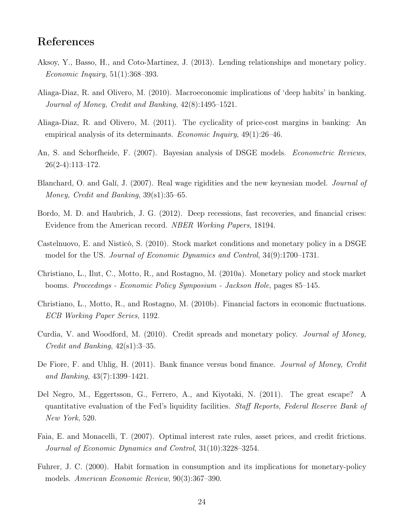# References

- Aksoy, Y., Basso, H., and Coto-Martinez, J. (2013). Lending relationships and monetary policy. Economic Inquiry, 51(1):368–393.
- Aliaga-Diaz, R. and Olivero, M. (2010). Macroeconomic implications of 'deep habits' in banking. Journal of Money, Credit and Banking, 42(8):1495–1521.
- Aliaga-Diaz, R. and Olivero, M. (2011). The cyclicality of price-cost margins in banking: An empirical analysis of its determinants. Economic Inquiry, 49(1):26–46.
- An, S. and Schorfheide, F. (2007). Bayesian analysis of DSGE models. *Econometric Reviews*, 26(2-4):113–172.
- Blanchard, O. and Galí, J. (2007). Real wage rigidities and the new keynesian model. *Journal of* Money, Credit and Banking, 39(s1):35–65.
- Bordo, M. D. and Haubrich, J. G. (2012). Deep recessions, fast recoveries, and financial crises: Evidence from the American record. NBER Working Papers, 18194.
- Castelnuovo, E. and Nisticò, S. (2010). Stock market conditions and monetary policy in a DSGE model for the US. Journal of Economic Dynamics and Control, 34(9):1700–1731.
- Christiano, L., Ilut, C., Motto, R., and Rostagno, M. (2010a). Monetary policy and stock market booms. Proceedings - Economic Policy Symposium - Jackson Hole, pages 85–145.
- Christiano, L., Motto, R., and Rostagno, M. (2010b). Financial factors in economic fluctuations. ECB Working Paper Series, 1192.
- Curdia, V. and Woodford, M. (2010). Credit spreads and monetary policy. Journal of Money, Credit and Banking, 42(s1):3–35.
- De Fiore, F. and Uhlig, H. (2011). Bank finance versus bond finance. Journal of Money, Credit and Banking, 43(7):1399–1421.
- Del Negro, M., Eggertsson, G., Ferrero, A., and Kiyotaki, N. (2011). The great escape? A quantitative evaluation of the Fed's liquidity facilities. Staff Reports, Federal Reserve Bank of New York, 520.
- Faia, E. and Monacelli, T. (2007). Optimal interest rate rules, asset prices, and credit frictions. Journal of Economic Dynamics and Control, 31(10):3228–3254.
- Fuhrer, J. C. (2000). Habit formation in consumption and its implications for monetary-policy models. American Economic Review, 90(3):367–390.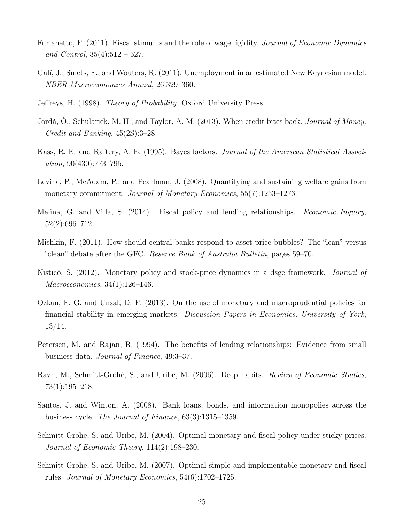- Furlanetto, F. (2011). Fiscal stimulus and the role of wage rigidity. Journal of Economic Dynamics and Control,  $35(4):512 - 527$ .
- Galí, J., Smets, F., and Wouters, R. (2011). Unemployment in an estimated New Keynesian model. NBER Macroeconomics Annual, 26:329–360.
- Jeffreys, H. (1998). Theory of Probability. Oxford University Press.
- Jordà, O., Schularick, M. H., and Taylor, A. M. (2013). When credit bites back. *Journal of Money*, Credit and Banking, 45(2S):3–28.
- Kass, R. E. and Raftery, A. E. (1995). Bayes factors. Journal of the American Statistical Association, 90(430):773–795.
- Levine, P., McAdam, P., and Pearlman, J. (2008). Quantifying and sustaining welfare gains from monetary commitment. Journal of Monetary Economics, 55(7):1253–1276.
- Melina, G. and Villa, S. (2014). Fiscal policy and lending relationships. Economic Inquiry, 52(2):696–712.
- Mishkin, F. (2011). How should central banks respond to asset-price bubbles? The "lean" versus "clean" debate after the GFC. Reserve Bank of Australia Bulletin, pages 59–70.
- Nisticò, S. (2012). Monetary policy and stock-price dynamics in a dsge framework. Journal of Macroeconomics, 34(1):126–146.
- Ozkan, F. G. and Unsal, D. F. (2013). On the use of monetary and macroprudential policies for financial stability in emerging markets. Discussion Papers in Economics, University of York, 13/14.
- Petersen, M. and Rajan, R. (1994). The benefits of lending relationships: Evidence from small business data. Journal of Finance, 49:3–37.
- Ravn, M., Schmitt-Grohé, S., and Uribe, M. (2006). Deep habits. *Review of Economic Studies*, 73(1):195–218.
- Santos, J. and Winton, A. (2008). Bank loans, bonds, and information monopolies across the business cycle. The Journal of Finance, 63(3):1315–1359.
- Schmitt-Grohe, S. and Uribe, M. (2004). Optimal monetary and fiscal policy under sticky prices. Journal of Economic Theory, 114(2):198–230.
- Schmitt-Grohe, S. and Uribe, M. (2007). Optimal simple and implementable monetary and fiscal rules. Journal of Monetary Economics, 54(6):1702–1725.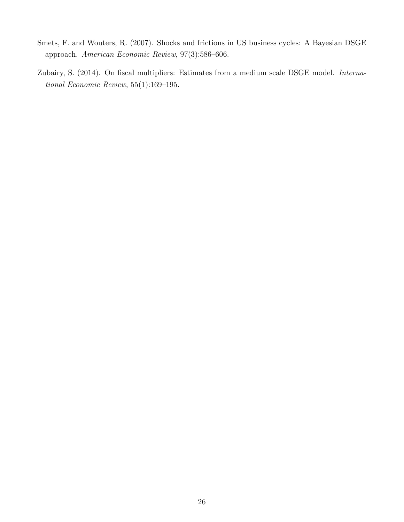- Smets, F. and Wouters, R. (2007). Shocks and frictions in US business cycles: A Bayesian DSGE approach. American Economic Review, 97(3):586–606.
- Zubairy, S. (2014). On fiscal multipliers: Estimates from a medium scale DSGE model. International Economic Review, 55(1):169–195.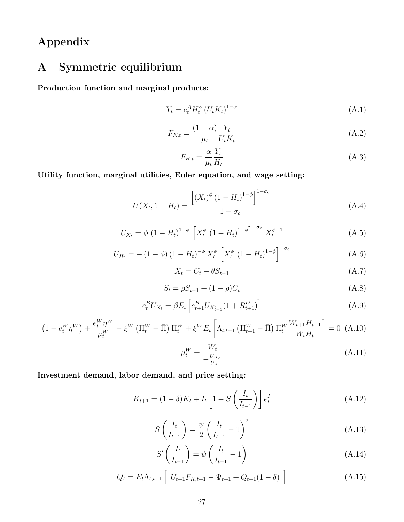Appendix

# A Symmetric equilibrium

Production function and marginal products:

$$
Y_t = e_t^A H_t^{\alpha} \left( U_t K_t \right)^{1-\alpha} \tag{A.1}
$$

$$
F_{K,t} = \frac{(1-\alpha)}{\mu_t} \frac{Y_t}{U_t K_t} \tag{A.2}
$$

$$
F_{H,t} = \frac{\alpha}{\mu_t} \frac{Y_t}{H_t} \tag{A.3}
$$

Utility function, marginal utilities, Euler equation, and wage setting:

$$
U(X_t, 1 - H_t) = \frac{\left[ (X_t)^{\phi} (1 - H_t)^{1 - \phi} \right]^{1 - \sigma_c}}{1 - \sigma_c}
$$
\n(A.4)

$$
U_{X_t} = \phi (1 - H_t)^{1 - \phi} \left[ X_t^{\phi} (1 - H_t)^{1 - \phi} \right]^{-\sigma_c} X_t^{\phi - 1}
$$
 (A.5)

$$
U_{H_t} = -(1 - \phi) (1 - H_t)^{-\phi} X_t^{\phi} \left[ X_t^{\phi} (1 - H_t)^{1 - \phi} \right]^{-\sigma_c}
$$
 (A.6)

$$
X_t = C_t - \theta S_{t-1} \tag{A.7}
$$

$$
S_t = \rho S_{t-1} + (1 - \rho)C_t \tag{A.8}
$$

$$
e_t^B U_{X_t} = \beta E_t \left[ e_{t+1}^B U_{X_{t+1}^c} (1 + R_{t+1}^D) \right]
$$
 (A.9)

$$
\left(1 - e_t^W \eta^W\right) + \frac{e_t^W \eta^W}{\mu_t^W} - \xi^W \left(\Pi_t^W - \bar{\Pi}\right) \Pi_t^W + \xi^W E_t \left[\Lambda_{t,t+1} \left(\Pi_{t+1}^W - \bar{\Pi}\right) \Pi_t^W \frac{W_{t+1} H_{t+1}}{W_t H_t}\right] = 0 \tag{A.10}
$$

$$
\mu_t^W = \frac{W_t}{-\frac{U_{H,t}}{U_{X_t}}} \tag{A.11}
$$

Investment demand, labor demand, and price setting:

$$
K_{t+1} = (1 - \delta)K_t + I_t \left[1 - S\left(\frac{I_t}{I_{t-1}}\right)\right] e_t^I
$$
 (A.12)

$$
S\left(\frac{I_t}{I_{t-1}}\right) = \frac{\psi}{2}\left(\frac{I_t}{I_{t-1}} - 1\right)^2\tag{A.13}
$$

$$
S'\left(\frac{I_t}{I_{t-1}}\right) = \psi\left(\frac{I_t}{I_{t-1}} - 1\right) \tag{A.14}
$$

$$
Q_t = E_t \Lambda_{t,t+1} \left[ U_{t+1} F_{K,t+1} - \Psi_{t+1} + Q_{t+1} (1 - \delta) \right]
$$
 (A.15)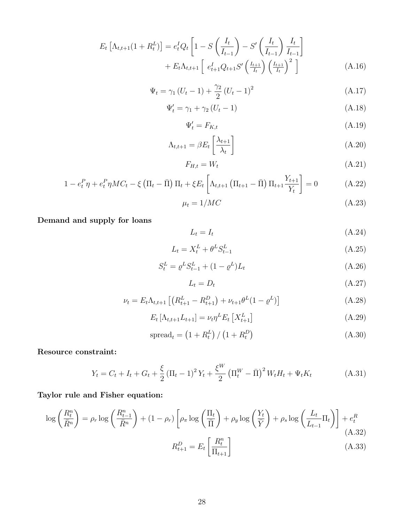$$
E_t \left[ \Lambda_{t,t+1} (1 + R_t^L) \right] = e_t^I Q_t \left[ 1 - S \left( \frac{I_t}{I_{t-1}} \right) - S' \left( \frac{I_t}{I_{t-1}} \right) \frac{I_t}{I_{t-1}} \right] + E_t \Lambda_{t,t+1} \left[ e_{t+1}^I Q_{t+1} S' \left( \frac{I_{t+1}}{I_t} \right) \left( \frac{I_{t+1}}{I_t} \right)^2 \right]
$$
(A.16)

$$
\Psi_t = \gamma_1 (U_t - 1) + \frac{\gamma_2}{2} (U_t - 1)^2
$$
\n(A.17)

$$
\Psi_t' = \gamma_1 + \gamma_2 \left( U_t - 1 \right) \tag{A.18}
$$

$$
\Psi_t' = F_{K,t} \tag{A.19}
$$

$$
\Lambda_{t,t+1} = \beta E_t \left[ \frac{\lambda_{t+1}}{\lambda_t} \right] \tag{A.20}
$$

$$
F_{H,t} = W_t \tag{A.21}
$$

$$
1 - e_t^P \eta + e_t^P \eta M C_t - \xi \left( \Pi_t - \bar{\Pi} \right) \Pi_t + \xi E_t \left[ \Lambda_{t,t+1} \left( \Pi_{t+1} - \bar{\Pi} \right) \Pi_{t+1} \frac{Y_{t+1}}{Y_t} \right] = 0 \tag{A.22}
$$

$$
\mu_t = 1/MC \tag{A.23}
$$

Demand and supply for loans

$$
L_t = I_t \tag{A.24}
$$

$$
L_t = X_t^L + \theta^L S_{t-1}^L \tag{A.25}
$$

$$
S_t^L = \rho^L S_{t-1}^L + (1 - \rho^L) L_t \tag{A.26}
$$

$$
L_t = D_t \tag{A.27}
$$

$$
\nu_t = E_t \Lambda_{t,t+1} \left[ \left( R_{t+1}^L - R_{t+1}^D \right) + \nu_{t+1} \theta^L (1 - \varrho^L) \right]
$$
 (A.28)

$$
E_t \left[ \Lambda_{t,t+1} L_{t+1} \right] = \nu_t \eta^L E_t \left[ X_{t+1}^L \right] \tag{A.29}
$$

$$
\text{spread}_t = \left(1 + R_t^L\right) / \left(1 + R_t^D\right) \tag{A.30}
$$

Resource constraint:

$$
Y_t = C_t + I_t + G_t + \frac{\xi}{2} \left( \Pi_t - 1 \right)^2 Y_t + \frac{\xi^W}{2} \left( \Pi_t^W - \bar{\Pi} \right)^2 W_t H_t + \Psi_t K_t \tag{A.31}
$$

### Taylor rule and Fisher equation:

$$
\log\left(\frac{R_t^n}{\bar{R}^n}\right) = \rho_r \log\left(\frac{R_{t-1}^n}{\bar{R}^n}\right) + (1 - \rho_r) \left[\rho_\pi \log\left(\frac{\Pi_t}{\bar{\Pi}}\right) + \rho_y \log\left(\frac{Y_t}{\bar{Y}}\right) + \rho_s \log\left(\frac{L_t}{L_{t-1}}\Pi_t\right)\right] + e_t^R
$$
\n(A.32)\n
$$
R_{t+1}^D = E_t \left[\frac{R_t^n}{\Pi_{t+1}}\right]
$$
\n(A.33)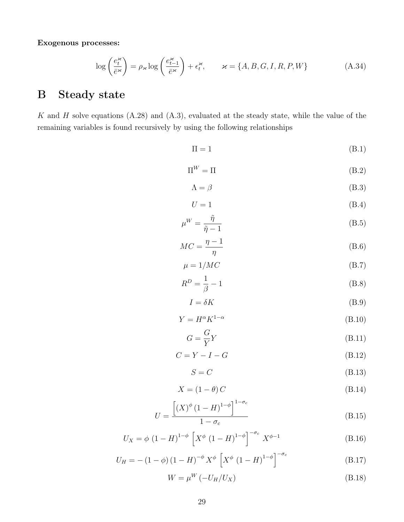Exogenous processes:

$$
\log\left(\frac{e_t^{\varkappa}}{\bar{e}^{\varkappa}}\right) = \rho_{\varkappa} \log\left(\frac{e_{t-1}^{\varkappa}}{\bar{e}^{\varkappa}}\right) + \epsilon_t^{\varkappa}, \qquad \varkappa = \{A, B, G, I, R, P, W\}
$$
\n(A.34)

# B Steady state

K and H solve equations  $(A.28)$  and  $(A.3)$ , evaluated at the steady state, while the value of the remaining variables is found recursively by using the following relationships

$$
\Pi = 1 \tag{B.1}
$$

$$
\Pi^W = \Pi \tag{B.2}
$$

$$
\Lambda = \beta \tag{B.3}
$$

$$
U = 1 \tag{B.4}
$$

$$
\mu^W = \frac{\tilde{\eta}}{\tilde{\eta} - 1} \tag{B.5}
$$

$$
MC = \frac{\eta - 1}{\eta} \tag{B.6}
$$

$$
\mu = 1/MC \tag{B.7}
$$

$$
R^D = \frac{1}{\beta} - 1\tag{B.8}
$$

$$
I = \delta K \tag{B.9}
$$

$$
Y = H^{\alpha} K^{1-\alpha} \tag{B.10}
$$

$$
G = \frac{G}{Y}Y\tag{B.11}
$$

$$
C = Y - I - G \tag{B.12}
$$

$$
S = C \tag{B.13}
$$

$$
X = (1 - \theta) C \tag{B.14}
$$

$$
U = \frac{\left[ (X)^{\phi} \left( 1 - H \right)^{1 - \phi} \right]^{1 - \sigma_c}}{1 - \sigma_c}
$$
\n(B.15)

$$
U_X = \phi (1 - H)^{1 - \phi} \left[ X^{\phi} (1 - H)^{1 - \phi} \right]^{-\sigma_c} X^{\phi - 1}
$$
 (B.16)

$$
U_H = -(1 - \phi) (1 - H)^{-\phi} X^{\phi} \left[ X^{\phi} (1 - H)^{1 - \phi} \right]^{-\sigma_c}
$$
 (B.17)

$$
W = \mu^W \left( -U_H / U_X \right) \tag{B.18}
$$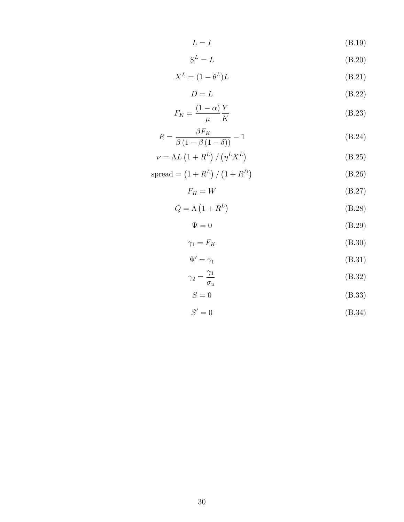$$
L = I \tag{B.19}
$$

$$
S^L = L \tag{B.20}
$$

$$
X^L = (1 - \theta^L)L
$$
 (B.21)

$$
D = L \tag{B.22}
$$

$$
F_K = \frac{(1 - \alpha)Y}{\mu K}
$$
 (B.23)

$$
R = \frac{\beta F_K}{\beta \left(1 - \beta \left(1 - \delta\right)\right)} - 1\tag{B.24}
$$

$$
\nu = \Lambda L \left( 1 + R^L \right) / \left( \eta^L X^L \right) \tag{B.25}
$$

$$
spread = (1 + R^{L}) / (1 + R^{D})
$$
 (B.26)

$$
F_H = W \tag{B.27}
$$

$$
Q = \Lambda \left( 1 + R^L \right) \tag{B.28}
$$

$$
\Psi = 0 \tag{B.29}
$$

$$
\gamma_1 = F_K \tag{B.30}
$$

$$
\Psi' = \gamma_1 \tag{B.31}
$$

$$
\gamma_2 = \frac{\gamma_1}{\sigma_u} \tag{B.32}
$$

$$
S = 0 \tag{B.33}
$$

$$
S'=0\tag{B.34}
$$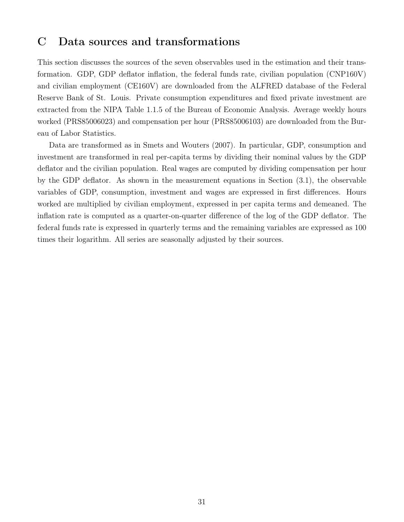# C Data sources and transformations

This section discusses the sources of the seven observables used in the estimation and their transformation. GDP, GDP deflator inflation, the federal funds rate, civilian population (CNP160V) and civilian employment (CE160V) are downloaded from the ALFRED database of the Federal Reserve Bank of St. Louis. Private consumption expenditures and fixed private investment are extracted from the NIPA Table 1.1.5 of the Bureau of Economic Analysis. Average weekly hours worked (PRS85006023) and compensation per hour (PRS85006103) are downloaded from the Bureau of Labor Statistics.

Data are transformed as in Smets and Wouters (2007). In particular, GDP, consumption and investment are transformed in real per-capita terms by dividing their nominal values by the GDP deflator and the civilian population. Real wages are computed by dividing compensation per hour by the GDP deflator. As shown in the measurement equations in Section (3.1), the observable variables of GDP, consumption, investment and wages are expressed in first differences. Hours worked are multiplied by civilian employment, expressed in per capita terms and demeaned. The inflation rate is computed as a quarter-on-quarter difference of the log of the GDP deflator. The federal funds rate is expressed in quarterly terms and the remaining variables are expressed as 100 times their logarithm. All series are seasonally adjusted by their sources.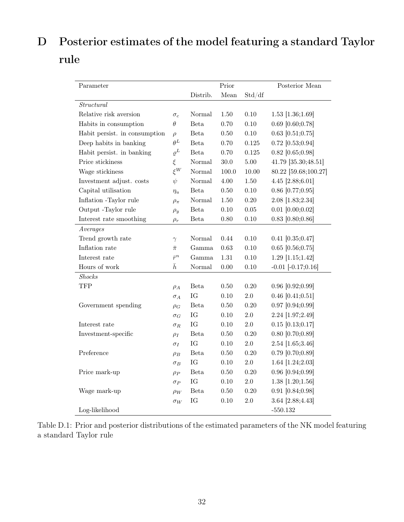# D Posterior estimates of the model featuring a standard Taylor rule

| Parameter                     |              |             | Prior     |          | Posterior Mean         |
|-------------------------------|--------------|-------------|-----------|----------|------------------------|
|                               |              | Distrib.    | Mean      | Std/df   |                        |
| Structural                    |              |             |           |          |                        |
| Relative risk aversion        | $\sigma_c$   | Normal      | 1.50      | 0.10     | $1.53$ [1.36;1.69]     |
| Habits in consumption         | $\theta$     | Beta        | 0.70      | $0.10\,$ | $0.69$ [0.60;0.78]     |
| Habit persist. in consumption | $\rho$       | <b>Beta</b> | 0.50      | 0.10     | $0.63$ [0.51;0.75]     |
| Deep habits in banking        | $\theta^L$   | <b>Beta</b> | 0.70      | 0.125    | $0.72$ [0.53;0.94]     |
| Habit persist. in banking     | $\varrho^L$  | Beta        | 0.70      | 0.125    | $0.82$ [0.65;0.98]     |
| Price stickiness              | $\xi$        | Normal      | $30.0\,$  | $5.00\,$ | 41.79 [35.30;48.51]    |
| Wage stickiness               | $\xi^W$      | Normal      | $100.0\,$ | 10.00    | 80.22 [59.68;100.27]   |
| Investment adjust. costs      | $\psi$       | Normal      | 4.00      | $1.50\,$ | 4.45 [2.88;6.01]       |
| Capital utilisation           | $\eta_u$     | Beta        | $0.50\,$  | $0.10\,$ | $0.86$ [0.77; $0.95$ ] |
| Inflation -Taylor rule        | $\rho_{\pi}$ | Normal      | 1.50      | $0.20\,$ | 2.08 [1.83;2.34]       |
| Output -Taylor rule           | $\rho_y$     | <b>Beta</b> | $0.10\,$  | $0.05\,$ | $0.01$ [0.00;0.02]     |
| Interest rate smoothing       | $\rho_r$     | <b>Beta</b> | 0.80      | 0.10     | $0.83$ [0.80;0.86]     |
| Averages                      |              |             |           |          |                        |
| Trend growth rate             | $\gamma$     | Normal      | 0.44      | $0.10\,$ | $0.41$ [0.35;0.47]     |
| Inflation rate                | $\bar{\pi}$  | Gamma       | 0.63      | $0.10\,$ | $0.65$ [0.56;0.75]     |
| Interest rate                 | $\bar{r}^n$  | Gamma       | $1.31\,$  | 0.10     | 1.29 [1.15;1.42]       |
| Hours of work                 | $\bar{h}$    | Normal      | $0.00\,$  | 0.10     | $-0.01$ $[-0.17;0.16]$ |
| Shocks                        |              |             |           |          |                        |
| <b>TFP</b>                    | $\rho_A$     | Beta        | 0.50      | 0.20     | $0.96$ [0.92;0.99]     |
|                               | $\sigma_A$   | IG          | $0.10\,$  | 2.0      | $0.46$ [0.41;0.51]     |
| Government spending           | $\rho_G$     | Beta        | $0.50\,$  | $0.20\,$ | $0.97$ [0.94;0.99]     |
|                               | $\sigma_G$   | IG          | 0.10      | 2.0      | 2.24 [1.97;2.49]       |
| Interest rate                 | $\sigma_R$   | IG          | 0.10      | $2.0\,$  | $0.15$ [0.13;0.17]     |
| Investment-specific           | $\rho_I$     | <b>Beta</b> | 0.50      | 0.20     | $0.80$ [0.70;0.89]     |
|                               | $\sigma_I$   | IG          | 0.10      | $2.0\,$  | 2.54 [1.65;3.46]       |
| Preference                    | $\rho_B$     | <b>Beta</b> | 0.50      | 0.20     | $0.79$ [0.70;0.89]     |
|                               | $\sigma_B$   | IG          | 0.10      | $2.0\,$  | 1.64 [1.24;2.03]       |
| Price mark-up                 | $\rho_P$     | <b>Beta</b> | 0.50      | 0.20     | $0.96$ [0.94;0.99]     |
|                               | $\sigma_P$   | IG          | $0.10\,$  | $2.0\,$  | $1.38$ [1.20;1.56]     |
| Wage mark-up                  | $\rho_W$     | Beta        | $0.50\,$  | $0.20\,$ | $0.91$ [0.84;0.98]     |
|                               | $\sigma_W$   | IG          | 0.10      | 2.0      | 3.64 [2.88;4.43]       |
| Log-likelihood                |              |             |           |          | $-550.132$             |

|                        |  | Table D.1: Prior and posterior distributions of the estimated parameters of the NK model featuring |  |  |  |
|------------------------|--|----------------------------------------------------------------------------------------------------|--|--|--|
| a standard Taylor rule |  |                                                                                                    |  |  |  |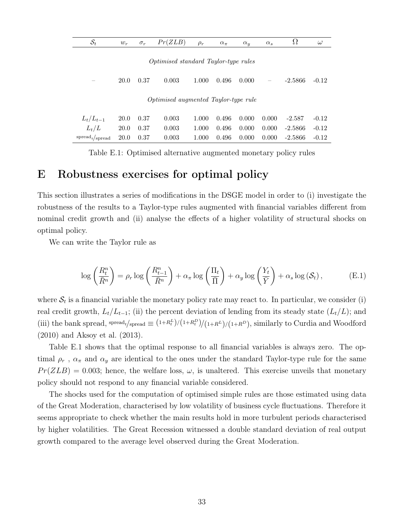| $\mathcal{S}_t$     | $w_r$       | $\sigma_r$ | Pr(ZLB)                                     | $\rho_r$ | $\alpha_{\pi}$ | $\alpha_u$ | $\alpha_s$               | Ω         | $\omega$ |
|---------------------|-------------|------------|---------------------------------------------|----------|----------------|------------|--------------------------|-----------|----------|
|                     |             |            |                                             |          |                |            |                          |           |          |
|                     |             |            | <i>Optimised standard Taylor-type rules</i> |          |                |            |                          |           |          |
|                     | 20.0        | 0.37       | 0.003                                       | 1.000    | 0.496          | 0.000      | $\overline{\phantom{m}}$ | $-2.5866$ | $-0.12$  |
|                     |             |            | <i>Optimised augmented Taylor-type rule</i> |          |                |            |                          |           |          |
|                     |             |            |                                             |          |                |            |                          |           |          |
| $L_t/L_{t-1}$       | 20.0        | 0.37       | 0.003                                       | 1.000    | 0.496          | 0.000      | 0.000                    | $-2.587$  | $-0.12$  |
| $L_t/L$             | <b>20.0</b> | 0.37       | 0.003                                       | 1.000    | 0.496          | 0.000      | 0.000                    | $-2.5866$ | $-0.12$  |
| $spread_t / spread$ | 20.0        | 0.37       | 0.003                                       | 1.000    | 0.496          | 0.000      | 0.000                    | $-2.5866$ | $-0.12$  |

Table E.1: Optimised alternative augmented monetary policy rules

## E Robustness exercises for optimal policy

This section illustrates a series of modifications in the DSGE model in order to (i) investigate the robustness of the results to a Taylor-type rules augmented with financial variables different from nominal credit growth and (ii) analyse the effects of a higher volatility of structural shocks on optimal policy.

We can write the Taylor rule as

$$
\log\left(\frac{R_t^n}{\bar{R}^n}\right) = \rho_r \log\left(\frac{R_{t-1}^n}{\bar{R}^n}\right) + \alpha_\pi \log\left(\frac{\Pi_t}{\bar{\Pi}}\right) + \alpha_y \log\left(\frac{Y_t}{\bar{Y}}\right) + \alpha_s \log\left(\mathcal{S}_t\right),\tag{E.1}
$$

where  $S_t$  is a financial variable the monetary policy rate may react to. In particular, we consider (i) real credit growth,  $L_t/L_{t-1}$ ; (ii) the percent deviation of lending from its steady state  $(L_t/L)$ ; and (iii) the bank spread, spread<sub>t</sub>/spread  $\equiv (1+R_t^L)/(1+R_t^D)/(1+R_t^L)/(1+R_t^D)$ , similarly to Curdia and Woodford (2010) and Aksoy et al. (2013).

Table E.1 shows that the optimal response to all financial variables is always zero. The optimal  $\rho_r$ ,  $\alpha_{\pi}$  and  $\alpha_y$  are identical to the ones under the standard Taylor-type rule for the same  $Pr(ZLB) = 0.003$ ; hence, the welfare loss,  $\omega$ , is unaltered. This exercise unveils that monetary policy should not respond to any financial variable considered.

The shocks used for the computation of optimised simple rules are those estimated using data of the Great Moderation, characterised by low volatility of business cycle fluctuations. Therefore it seems appropriate to check whether the main results hold in more turbulent periods characterised by higher volatilities. The Great Recession witnessed a double standard deviation of real output growth compared to the average level observed during the Great Moderation.